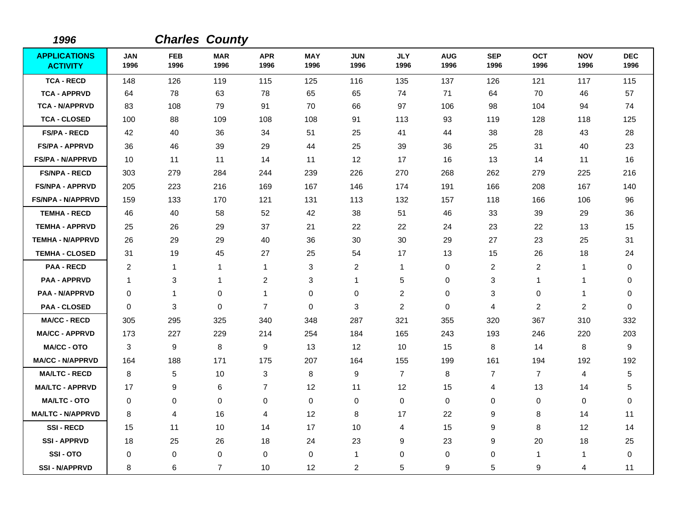| 1996                                   |                    |                    | <b>Charles County</b> |                         |                    |                    |                    |                    |                    |                         |                    |                    |
|----------------------------------------|--------------------|--------------------|-----------------------|-------------------------|--------------------|--------------------|--------------------|--------------------|--------------------|-------------------------|--------------------|--------------------|
| <b>APPLICATIONS</b><br><b>ACTIVITY</b> | <b>JAN</b><br>1996 | <b>FEB</b><br>1996 | <b>MAR</b><br>1996    | <b>APR</b><br>1996      | <b>MAY</b><br>1996 | <b>JUN</b><br>1996 | <b>JLY</b><br>1996 | <b>AUG</b><br>1996 | <b>SEP</b><br>1996 | <b>OCT</b><br>1996      | <b>NOV</b><br>1996 | <b>DEC</b><br>1996 |
| <b>TCA - RECD</b>                      | 148                | 126                | 119                   | 115                     | 125                | 116                | 135                | 137                | 126                | 121                     | 117                | 115                |
| <b>TCA - APPRVD</b>                    | 64                 | 78                 | 63                    | 78                      | 65                 | 65                 | 74                 | 71                 | 64                 | 70                      | 46                 | 57                 |
| <b>TCA - N/APPRVD</b>                  | 83                 | 108                | 79                    | 91                      | 70                 | 66                 | 97                 | 106                | 98                 | 104                     | 94                 | 74                 |
| <b>TCA - CLOSED</b>                    | 100                | 88                 | 109                   | 108                     | 108                | 91                 | 113                | 93                 | 119                | 128                     | 118                | 125                |
| <b>FS/PA - RECD</b>                    | 42                 | 40                 | 36                    | 34                      | 51                 | 25                 | 41                 | 44                 | 38                 | 28                      | 43                 | 28                 |
| <b>FS/PA - APPRVD</b>                  | 36                 | 46                 | 39                    | 29                      | 44                 | 25                 | 39                 | 36                 | 25                 | 31                      | 40                 | 23                 |
| <b>FS/PA - N/APPRVD</b>                | 10                 | 11                 | 11                    | 14                      | 11                 | 12                 | 17                 | 16                 | 13                 | 14                      | 11                 | 16                 |
| <b>FS/NPA - RECD</b>                   | 303                | 279                | 284                   | 244                     | 239                | 226                | 270                | 268                | 262                | 279                     | 225                | 216                |
| <b>FS/NPA - APPRVD</b>                 | 205                | 223                | 216                   | 169                     | 167                | 146                | 174                | 191                | 166                | 208                     | 167                | 140                |
| <b>FS/NPA - N/APPRVD</b>               | 159                | 133                | 170                   | 121                     | 131                | 113                | 132                | 157                | 118                | 166                     | 106                | 96                 |
| <b>TEMHA - RECD</b>                    | 46                 | 40                 | 58                    | 52                      | 42                 | 38                 | 51                 | 46                 | 33                 | 39                      | 29                 | 36                 |
| <b>TEMHA - APPRVD</b>                  | 25                 | 26                 | 29                    | 37                      | 21                 | 22                 | 22                 | 24                 | 23                 | 22                      | 13                 | 15                 |
| <b>TEMHA - N/APPRVD</b>                | 26                 | 29                 | 29                    | 40                      | 36                 | 30                 | 30                 | 29                 | 27                 | 23                      | 25                 | 31                 |
| <b>TEMHA - CLOSED</b>                  | 31                 | 19                 | 45                    | 27                      | 25                 | 54                 | 17                 | 13                 | 15                 | 26                      | 18                 | 24                 |
| <b>PAA - RECD</b>                      | 2                  | 1                  | 1                     | 1                       | 3                  | $\overline{2}$     | 1                  | 0                  | $\overline{c}$     | $\overline{c}$          | 1                  | 0                  |
| <b>PAA - APPRVD</b>                    | 1                  | 3                  | 1                     | $\overline{\mathbf{c}}$ | 3                  | 1                  | 5                  | 0                  | 3                  | 1                       | 1                  | 0                  |
| <b>PAA - N/APPRVD</b>                  | $\pmb{0}$          | 1                  | $\mathbf 0$           | 1                       | $\,0\,$            | $\mathbf 0$        | $\overline{c}$     | 0                  | 3                  | 0                       | 1                  | 0                  |
| <b>PAA - CLOSED</b>                    | 0                  | 3                  | $\mathbf 0$           | $\overline{7}$          | $\mathbf 0$        | 3                  | $\overline{c}$     | 0                  | 4                  | $\overline{\mathbf{c}}$ | $\overline{c}$     | 0                  |
| <b>MA/CC - RECD</b>                    | 305                | 295                | 325                   | 340                     | 348                | 287                | 321                | 355                | 320                | 367                     | 310                | 332                |
| <b>MA/CC - APPRVD</b>                  | 173                | 227                | 229                   | 214                     | 254                | 184                | 165                | 243                | 193                | 246                     | 220                | 203                |
| <b>MA/CC - OTO</b>                     | 3                  | 9                  | 8                     | 9                       | 13                 | 12                 | 10                 | 15                 | 8                  | 14                      | 8                  | 9                  |
| <b>MA/CC - N/APPRVD</b>                | 164                | 188                | 171                   | 175                     | 207                | 164                | 155                | 199                | 161                | 194                     | 192                | 192                |
| <b>MA/LTC - RECD</b>                   | 8                  | 5                  | 10                    | 3                       | 8                  | 9                  | $\overline{7}$     | 8                  | $\overline{7}$     | $\overline{7}$          | 4                  | 5                  |
| <b>MA/LTC - APPRVD</b>                 | 17                 | 9                  | 6                     | $\overline{7}$          | 12                 | 11                 | 12                 | 15                 | $\overline{4}$     | 13                      | 14                 | 5                  |
| <b>MA/LTC - OTO</b>                    | 0                  | 0                  | $\mathbf 0$           | $\mathbf 0$             | $\pmb{0}$          | 0                  | 0                  | $\pmb{0}$          | $\mathbf 0$        | 0                       | $\pmb{0}$          | 0                  |
| <b>MA/LTC - N/APPRVD</b>               | 8                  | 4                  | 16                    | 4                       | 12                 | 8                  | 17                 | 22                 | 9                  | 8                       | 14                 | 11                 |
| <b>SSI-RECD</b>                        | 15                 | 11                 | 10                    | 14                      | 17                 | 10                 | $\overline{4}$     | 15                 | 9                  | 8                       | 12                 | 14                 |
| <b>SSI-APPRVD</b>                      | 18                 | 25                 | 26                    | 18                      | 24                 | 23                 | 9                  | 23                 | 9                  | 20                      | 18                 | 25                 |
| SSI-OTO                                | $\mathbf 0$        | 0                  | $\mathbf 0$           | $\mathbf 0$             | $\pmb{0}$          | 1                  | $\mathbf 0$        | 0                  | $\mathbf 0$        | $\mathbf 1$             | $\mathbf{1}$       | $\mathbf 0$        |
| <b>SSI - N/APPRVD</b>                  | 8                  | 6                  | $\overline{7}$        | 10                      | 12                 | $\overline{c}$     | 5                  | 9                  | 5                  | 9                       | 4                  | 11                 |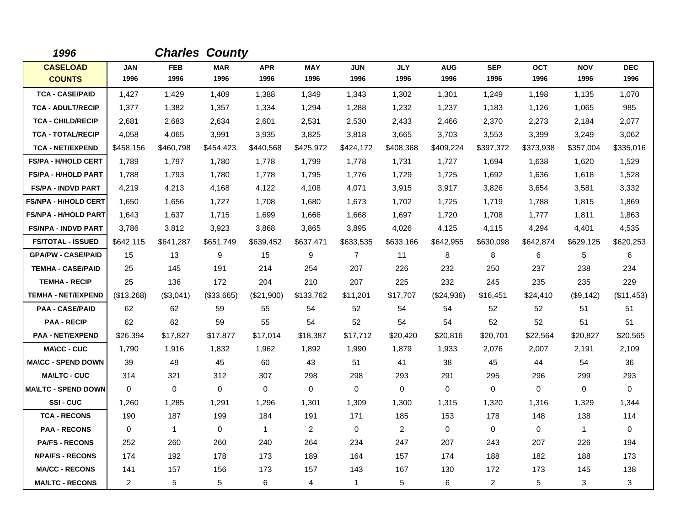| 1996                        |                | <b>Charles County</b> |             |              |                |                |             |            |              |             |              |             |
|-----------------------------|----------------|-----------------------|-------------|--------------|----------------|----------------|-------------|------------|--------------|-------------|--------------|-------------|
| <b>CASELOAD</b>             | <b>JAN</b>     | <b>FEB</b>            | <b>MAR</b>  | <b>APR</b>   | <b>MAY</b>     | <b>JUN</b>     | <b>JLY</b>  | <b>AUG</b> | <b>SEP</b>   | <b>OCT</b>  | <b>NOV</b>   | <b>DEC</b>  |
| <b>COUNTS</b>               | 1996           | 1996                  | 1996        | 1996         | 1996           | 1996           | 1996        | 1996       | 1996         | 1996        | 1996         | 1996        |
| <b>TCA - CASE/PAID</b>      | 1,427          | 1,429                 | 1.409       | 1,388        | 1,349          | 1.343          | 1,302       | 1,301      | 1.249        | 1,198       | 1,135        | 1,070       |
| <b>TCA - ADULT/RECIP</b>    | 1,377          | 1,382                 | 1,357       | 1,334        | 1,294          | 1,288          | 1,232       | 1,237      | 1.183        | 1,126       | 1,065        | 985         |
| <b>TCA - CHILD/RECIP</b>    | 2,681          | 2,683                 | 2,634       | 2,601        | 2,531          | 2,530          | 2,433       | 2,466      | 2,370        | 2,273       | 2,184        | 2,077       |
| <b>TCA - TOTAL/RECIP</b>    | 4,058          | 4,065                 | 3,991       | 3,935        | 3,825          | 3,818          | 3,665       | 3,703      | 3,553        | 3,399       | 3,249        | 3,062       |
| <b>TCA - NET/EXPEND</b>     | \$458,156      | \$460,798             | \$454,423   | \$440,568    | \$425,972      | \$424,172      | \$408,368   | \$409,224  | \$397,372    | \$373,938   | \$357,004    | \$335,016   |
| <b>FS/PA - H/HOLD CERT</b>  | 1,789          | 1,797                 | 1,780       | 1,778        | 1,799          | 1,778          | 1,731       | 1,727      | 1,694        | 1,638       | 1,620        | 1,529       |
| FS/PA - H/HOLD PART         | 1,788          | 1,793                 | 1,780       | 1,778        | 1,795          | 1,776          | 1,729       | 1,725      | 1,692        | 1,636       | 1,618        | 1,528       |
| <b>FS/PA - INDVD PART</b>   | 4,219          | 4,213                 | 4,168       | 4,122        | 4,108          | 4,071          | 3,915       | 3,917      | 3,826        | 3,654       | 3,581        | 3,332       |
| <b>FS/NPA - H/HOLD CERT</b> | 1,650          | 1,656                 | 1,727       | 1,708        | 1,680          | 1,673          | 1,702       | 1,725      | 1,719        | 1,788       | 1,815        | 1,869       |
| <b>FS/NPA - H/HOLD PART</b> | 1,643          | 1,637                 | 1,715       | 1,699        | 1,666          | 1,668          | 1,697       | 1,720      | 1,708        | 1,777       | 1,811        | 1,863       |
| <b>FS/NPA - INDVD PART</b>  | 3,786          | 3,812                 | 3,923       | 3,868        | 3,865          | 3,895          | 4,026       | 4,125      | 4,115        | 4,294       | 4,401        | 4,535       |
| <b>FS/TOTAL - ISSUED</b>    | \$642,115      | \$641,287             | \$651.749   | \$639,452    | \$637,471      | \$633,535      | \$633,166   | \$642,955  | \$630,098    | \$642,874   | \$629,125    | \$620,253   |
| <b>GPA/PW - CASE/PAID</b>   | 15             | 13                    | 9           | 15           | 9              | $\overline{7}$ | 11          | 8          | 8            | 6           | 5            | 6           |
| <b>TEMHA - CASE/PAID</b>    | 25             | 145                   | 191         | 214          | 254            | 207            | 226         | 232        | 250          | 237         | 238          | 234         |
| <b>TEMHA - RECIP</b>        | 25             | 136                   | 172         | 204          | 210            | 207            | 225         | 232        | 245          | 235         | 235          | 229         |
| <b>TEMHA - NET/EXPEND</b>   | (\$13,268)     | (\$3,041)             | (\$33,665)  | (\$21,900)   | \$133,762      | \$11,201       | \$17,707    | (\$24,936) | \$16,451     | \$24,410    | (\$9,142)    | (\$11,453)  |
| <b>PAA - CASE/PAID</b>      | 62             | 62                    | 59          | 55           | 54             | 52             | 54          | 54         | 52           | 52          | 51           | 51          |
| <b>PAA - RECIP</b>          | 62             | 62                    | 59          | 55           | 54             | 52             | 54          | 54         | 52           | 52          | 51           | 51          |
| <b>PAA - NET/EXPEND</b>     | \$26,394       | \$17,827              | \$17,877    | \$17,014     | \$18,387       | \$17,712       | \$20,420    | \$20,816   | \$20,701     | \$22,564    | \$20,827     | \$20,565    |
| <b>MA\CC - CUC</b>          | 1,790          | 1,916                 | 1,832       | 1,962        | 1,892          | 1,990          | 1,879       | 1,933      | 2,076        | 2,007       | 2,191        | 2,109       |
| <b>MA\CC - SPEND DOWN</b>   | 39             | 49                    | 45          | 60           | 43             | 51             | 41          | 38         | 45           | 44          | 54           | 36          |
| <b>MA\LTC - CUC</b>         | 314            | 321                   | 312         | 307          | 298            | 298            | 293         | 291        | 295          | 296         | 299          | 293         |
| <b>MAILTC - SPEND DOWN</b>  | $\mathbf 0$    | $\mathbf 0$           | 0           | $\mathbf 0$  | $\mathbf 0$    | $\mathbf 0$    | $\mathbf 0$ | 0          | $\mathbf 0$  | $\mathbf 0$ | $\mathbf 0$  | $\mathbf 0$ |
| SSI-CUC                     | 1,260          | 1,285                 | 1,291       | 1,296        | 1,301          | 1,309          | 1,300       | 1,315      | 1,320        | 1,316       | 1,329        | 1,344       |
| <b>TCA - RECONS</b>         | 190            | 187                   | 199         | 184          | 191            | 171            | 185         | 153        | 178          | 148         | 138          | 114         |
| <b>PAA - RECONS</b>         | $\mathbf 0$    | $\mathbf{1}$          | $\mathbf 0$ | $\mathbf{1}$ | $\overline{2}$ | $\mathbf 0$    | 2           | 0          | $\mathbf 0$  | $\mathbf 0$ | $\mathbf{1}$ | $\mathbf 0$ |
| <b>PA/FS - RECONS</b>       | 252            | 260                   | 260         | 240          | 264            | 234            | 247         | 207        | 243          | 207         | 226          | 194         |
| <b>NPA/FS - RECONS</b>      | 174            | 192                   | 178         | 173          | 189            | 164            | 157         | 174        | 188          | 182         | 188          | 173         |
| <b>MA/CC - RECONS</b>       | 141            | 157                   | 156         | 173          | 157            | 143            | 167         | 130        | 172          | 173         | 145          | 138         |
| <b>MA/LTC - RECONS</b>      | $\overline{2}$ | 5                     | 5           | 6            | 4              | $\mathbf{1}$   | 5           | 6          | $\mathbf{2}$ | 5           | 3            | 3           |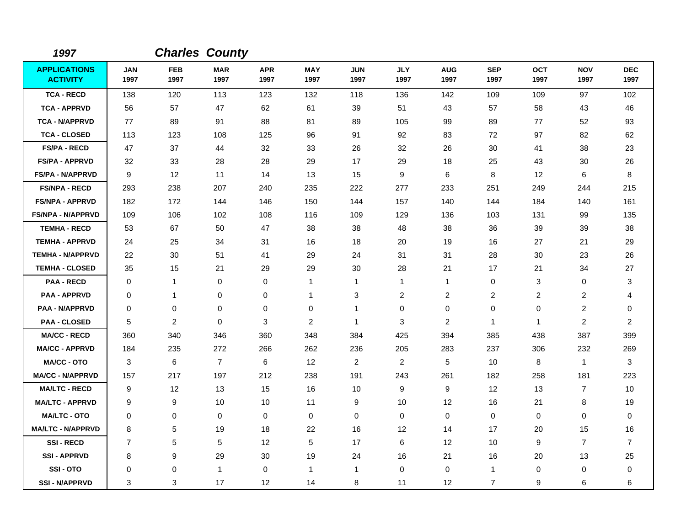| 1997                                   |                    |                    | <b>Charles County</b> |                    |                    |                    |                    |                    |                    |                    |                    |                    |
|----------------------------------------|--------------------|--------------------|-----------------------|--------------------|--------------------|--------------------|--------------------|--------------------|--------------------|--------------------|--------------------|--------------------|
| <b>APPLICATIONS</b><br><b>ACTIVITY</b> | <b>JAN</b><br>1997 | <b>FEB</b><br>1997 | <b>MAR</b><br>1997    | <b>APR</b><br>1997 | <b>MAY</b><br>1997 | <b>JUN</b><br>1997 | <b>JLY</b><br>1997 | <b>AUG</b><br>1997 | <b>SEP</b><br>1997 | <b>OCT</b><br>1997 | <b>NOV</b><br>1997 | <b>DEC</b><br>1997 |
| <b>TCA - RECD</b>                      | 138                | 120                | 113                   | 123                | 132                | 118                | 136                | 142                | 109                | 109                | 97                 | 102                |
| <b>TCA - APPRVD</b>                    | 56                 | 57                 | 47                    | 62                 | 61                 | 39                 | 51                 | 43                 | 57                 | 58                 | 43                 | 46                 |
| <b>TCA - N/APPRVD</b>                  | 77                 | 89                 | 91                    | 88                 | 81                 | 89                 | 105                | 99                 | 89                 | 77                 | 52                 | 93                 |
| <b>TCA - CLOSED</b>                    | 113                | 123                | 108                   | 125                | 96                 | 91                 | 92                 | 83                 | 72                 | 97                 | 82                 | 62                 |
| <b>FS/PA - RECD</b>                    | 47                 | 37                 | 44                    | 32                 | 33                 | 26                 | 32                 | 26                 | 30                 | 41                 | 38                 | 23                 |
| <b>FS/PA - APPRVD</b>                  | 32                 | 33                 | 28                    | 28                 | 29                 | 17                 | 29                 | 18                 | 25                 | 43                 | 30                 | 26                 |
| <b>FS/PA - N/APPRVD</b>                | 9                  | 12                 | 11                    | 14                 | 13                 | 15                 | 9                  | 6                  | 8                  | 12                 | 6                  | 8                  |
| <b>FS/NPA - RECD</b>                   | 293                | 238                | 207                   | 240                | 235                | 222                | 277                | 233                | 251                | 249                | 244                | 215                |
| <b>FS/NPA - APPRVD</b>                 | 182                | 172                | 144                   | 146                | 150                | 144                | 157                | 140                | 144                | 184                | 140                | 161                |
| <b>FS/NPA - N/APPRVD</b>               | 109                | 106                | 102                   | 108                | 116                | 109                | 129                | 136                | 103                | 131                | 99                 | 135                |
| <b>TEMHA - RECD</b>                    | 53                 | 67                 | 50                    | 47                 | 38                 | 38                 | 48                 | 38                 | 36                 | 39                 | 39                 | 38                 |
| <b>TEMHA - APPRVD</b>                  | 24                 | 25                 | 34                    | 31                 | 16                 | 18                 | 20                 | 19                 | 16                 | 27                 | 21                 | 29                 |
| <b>TEMHA - N/APPRVD</b>                | 22                 | 30                 | 51                    | 41                 | 29                 | 24                 | 31                 | 31                 | 28                 | 30                 | 23                 | 26                 |
| <b>TEMHA - CLOSED</b>                  | 35                 | 15                 | 21                    | 29                 | 29                 | 30                 | 28                 | 21                 | 17                 | 21                 | 34                 | 27                 |
| <b>PAA - RECD</b>                      | $\Omega$           | $\mathbf{1}$       | 0                     | 0                  | $\mathbf{1}$       | $\mathbf{1}$       | $\mathbf{1}$       | 1                  | $\mathbf 0$        | 3                  | 0                  | 3                  |
| <b>PAA - APPRVD</b>                    | 0                  | $\mathbf{1}$       | 0                     | 0                  | $\mathbf{1}$       | 3                  | 2                  | $\overline{c}$     | $\overline{2}$     | $\overline{c}$     | $\overline{2}$     | 4                  |
| <b>PAA - N/APPRVD</b>                  | 0                  | 0                  | 0                     | 0                  | 0                  | $\mathbf{1}$       | 0                  | 0                  | $\mathbf 0$        | 0                  | 2                  | 0                  |
| <b>PAA - CLOSED</b>                    | 5                  | $\overline{2}$     | 0                     | 3                  | 2                  | $\mathbf{1}$       | 3                  | 2                  | $\mathbf{1}$       | $\mathbf{1}$       | $\overline{2}$     | $\overline{c}$     |
| <b>MA/CC - RECD</b>                    | 360                | 340                | 346                   | 360                | 348                | 384                | 425                | 394                | 385                | 438                | 387                | 399                |
| <b>MA/CC - APPRVD</b>                  | 184                | 235                | 272                   | 266                | 262                | 236                | 205                | 283                | 237                | 306                | 232                | 269                |
| <b>MA/CC - OTO</b>                     | 3                  | 6                  | $\overline{7}$        | 6                  | 12                 | $\overline{2}$     | $\overline{c}$     | 5                  | 10                 | 8                  | $\mathbf{1}$       | 3                  |
| <b>MA/CC - N/APPRVD</b>                | 157                | 217                | 197                   | 212                | 238                | 191                | 243                | 261                | 182                | 258                | 181                | 223                |
| <b>MA/LTC - RECD</b>                   | 9                  | $12 \,$            | 13                    | 15                 | 16                 | 10                 | 9                  | 9                  | 12                 | 13                 | $\overline{7}$     | 10                 |
| <b>MA/LTC - APPRVD</b>                 | 9                  | 9                  | 10                    | 10                 | 11                 | 9                  | 10                 | 12                 | 16                 | 21                 | 8                  | 19                 |
| <b>MA/LTC - OTO</b>                    | 0                  | 0                  | 0                     | 0                  | $\mathbf 0$        | $\pmb{0}$          | $\mathbf 0$        | 0                  | $\mathbf 0$        | 0                  | $\mathbf 0$        | 0                  |
| <b>MA/LTC - N/APPRVD</b>               | 8                  | 5                  | 19                    | 18                 | 22                 | 16                 | 12                 | 14                 | 17                 | 20                 | 15                 | 16                 |
| <b>SSI-RECD</b>                        | $\overline{7}$     | 5                  | 5                     | $12 \overline{ }$  | 5                  | 17                 | 6                  | 12                 | 10                 | 9                  | $\overline{7}$     | $\overline{7}$     |
| <b>SSI-APPRVD</b>                      | 8                  | 9                  | 29                    | 30                 | 19                 | 24                 | 16                 | 21                 | 16                 | 20                 | 13                 | 25                 |
| SSI-OTO                                | 0                  | 0                  | $\mathbf{1}$          | 0                  | $\overline{1}$     | $\mathbf{1}$       | 0                  | 0                  | $\mathbf 1$        | 0                  | $\mathbf 0$        | 0                  |
| <b>SSI-N/APPRVD</b>                    | 3                  | 3                  | 17                    | 12                 | 14                 | 8                  | 11                 | 12                 | $\overline{7}$     | 9                  | 6                  | 6                  |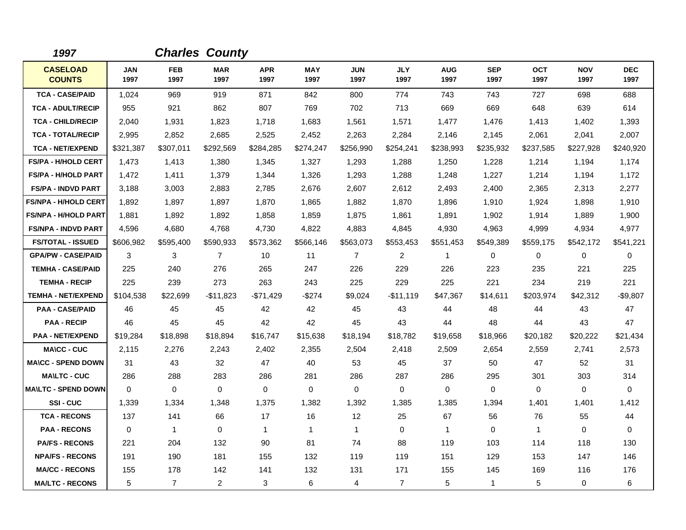| 1997                             |                    | <b>Charles County</b> |                    |                    |                    |                    |                    |                    |                    |                    |                    |                    |
|----------------------------------|--------------------|-----------------------|--------------------|--------------------|--------------------|--------------------|--------------------|--------------------|--------------------|--------------------|--------------------|--------------------|
| <b>CASELOAD</b><br><b>COUNTS</b> | <b>JAN</b><br>1997 | <b>FEB</b><br>1997    | <b>MAR</b><br>1997 | <b>APR</b><br>1997 | <b>MAY</b><br>1997 | <b>JUN</b><br>1997 | <b>JLY</b><br>1997 | <b>AUG</b><br>1997 | <b>SEP</b><br>1997 | <b>OCT</b><br>1997 | <b>NOV</b><br>1997 | <b>DEC</b><br>1997 |
| <b>TCA - CASE/PAID</b>           | 1,024              | 969                   | 919                | 871                | 842                | 800                | 774                | 743                | 743                | 727                | 698                | 688                |
| <b>TCA - ADULT/RECIP</b>         | 955                | 921                   | 862                | 807                | 769                | 702                | 713                | 669                | 669                | 648                | 639                | 614                |
| <b>TCA - CHILD/RECIP</b>         | 2,040              | 1,931                 | 1,823              | 1,718              | 1,683              | 1,561              | 1,571              | 1,477              | 1,476              | 1,413              | 1,402              | 1,393              |
| <b>TCA - TOTAL/RECIP</b>         | 2,995              | 2,852                 | 2,685              | 2,525              | 2,452              | 2,263              | 2,284              | 2,146              | 2,145              | 2,061              | 2,041              | 2,007              |
| <b>TCA - NET/EXPEND</b>          | \$321,387          | \$307,011             | \$292,569          | \$284,285          | \$274,247          | \$256,990          | \$254,241          | \$238,993          | \$235,932          | \$237,585          | \$227,928          | \$240,920          |
| FS/PA - H/HOLD CERT              | 1,473              | 1,413                 | 1,380              | 1,345              | 1,327              | 1,293              | 1,288              | 1,250              | 1,228              | 1,214              | 1,194              | 1,174              |
| <b>FS/PA - H/HOLD PART</b>       | 1,472              | 1,411                 | 1,379              | 1,344              | 1,326              | 1,293              | 1,288              | 1,248              | 1,227              | 1,214              | 1,194              | 1,172              |
| <b>FS/PA - INDVD PART</b>        | 3,188              | 3,003                 | 2,883              | 2,785              | 2,676              | 2,607              | 2,612              | 2,493              | 2,400              | 2,365              | 2,313              | 2,277              |
| <b>FS/NPA - H/HOLD CERT</b>      | 1,892              | 1,897                 | 1,897              | 1,870              | 1,865              | 1,882              | 1,870              | 1,896              | 1,910              | 1,924              | 1,898              | 1,910              |
| <b>FS/NPA - H/HOLD PART</b>      | 1,881              | 1,892                 | 1,892              | 1,858              | 1,859              | 1,875              | 1,861              | 1,891              | 1,902              | 1,914              | 1,889              | 1,900              |
| <b>FS/NPA - INDVD PART</b>       | 4,596              | 4,680                 | 4.768              | 4,730              | 4,822              | 4,883              | 4,845              | 4,930              | 4,963              | 4,999              | 4,934              | 4,977              |
| <b>FS/TOTAL - ISSUED</b>         | \$606,982          | \$595,400             | \$590,933          | \$573,362          | \$566,146          | \$563,073          | \$553,453          | \$551,453          | \$549,389          | \$559,175          | \$542,172          | \$541,221          |
| <b>GPA/PW - CASE/PAID</b>        | 3                  | 3                     | $\overline{7}$     | 10                 | 11                 | $\overline{7}$     | $\overline{c}$     | 1                  | 0                  | 0                  | $\mathbf 0$        | 0                  |
| <b>TEMHA - CASE/PAID</b>         | 225                | 240                   | 276                | 265                | 247                | 226                | 229                | 226                | 223                | 235                | 221                | 225                |
| <b>TEMHA - RECIP</b>             | 225                | 239                   | 273                | 263                | 243                | 225                | 229                | 225                | 221                | 234                | 219                | 221                |
| <b>TEMHA - NET/EXPEND</b>        | \$104,538          | \$22,699              | $-$11,823$         | $-$71,429$         | -\$274             | \$9,024            | $-$11,119$         | \$47,367           | \$14,611           | \$203,974          | \$42,312           | $-$9,807$          |
| <b>PAA - CASE/PAID</b>           | 46                 | 45                    | 45                 | 42                 | 42                 | 45                 | 43                 | 44                 | 48                 | 44                 | 43                 | 47                 |
| <b>PAA - RECIP</b>               | 46                 | 45                    | 45                 | 42                 | 42                 | 45                 | 43                 | 44                 | 48                 | 44                 | 43                 | 47                 |
| <b>PAA - NET/EXPEND</b>          | \$19,284           | \$18,898              | \$18,894           | \$16,747           | \$15,638           | \$18,194           | \$18,782           | \$19,658           | \$18,966           | \$20,182           | \$20,222           | \$21,434           |
| <b>MA\CC - CUC</b>               | 2,115              | 2,276                 | 2,243              | 2,402              | 2,355              | 2,504              | 2,418              | 2,509              | 2,654              | 2,559              | 2,741              | 2,573              |
| <b>MA\CC - SPEND DOWN</b>        | 31                 | 43                    | 32                 | 47                 | 40                 | 53                 | 45                 | 37                 | 50                 | 47                 | 52                 | 31                 |
| <b>MAILTC - CUC</b>              | 286                | 288                   | 283                | 286                | 281                | 286                | 287                | 286                | 295                | 301                | 303                | 314                |
| <b>MAILTC - SPEND DOWN</b>       | $\Omega$           | $\Omega$              | $\Omega$           | $\Omega$           | $\Omega$           | $\Omega$           | $\Omega$           | 0                  | $\Omega$           | 0                  | $\Omega$           | 0                  |
| SSI-CUC                          | 1,339              | 1,334                 | 1,348              | 1,375              | 1,382              | 1,392              | 1,385              | 1,385              | 1,394              | 1,401              | 1,401              | 1,412              |
| <b>TCA - RECONS</b>              | 137                | 141                   | 66                 | 17                 | 16                 | $12 \overline{ }$  | 25                 | 67                 | 56                 | 76                 | 55                 | 44                 |
| <b>PAA - RECONS</b>              | $\Omega$           | $\mathbf{1}$          | $\Omega$           | $\mathbf{1}$       | $\mathbf{1}$       | $\mathbf{1}$       | $\Omega$           | $\mathbf{1}$       | $\Omega$           | $\mathbf{1}$       | $\Omega$           | $\Omega$           |
| <b>PA/FS - RECONS</b>            | 221                | 204                   | 132                | 90                 | 81                 | 74                 | 88                 | 119                | 103                | 114                | 118                | 130                |
| <b>NPA/FS - RECONS</b>           | 191                | 190                   | 181                | 155                | 132                | 119                | 119                | 151                | 129                | 153                | 147                | 146                |
| <b>MA/CC - RECONS</b>            | 155                | 178                   | 142                | 141                | 132                | 131                | 171                | 155                | 145                | 169                | 116                | 176                |
| <b>MA/LTC - RECONS</b>           | 5                  | $\overline{7}$        | $\overline{c}$     | 3                  | 6                  | 4                  | $\overline{7}$     | 5                  | $\mathbf{1}$       | 5                  | 0                  | 6                  |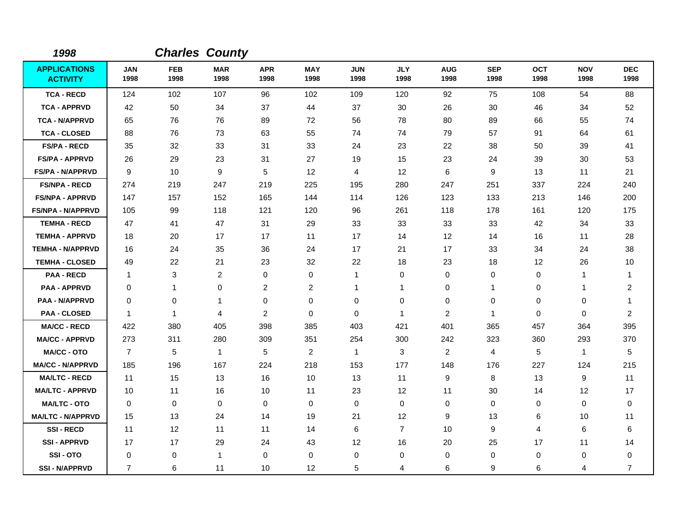| 1998                                   |                    |                    | <b>Charles County</b> |                    |                    |                    |                    |                    |                    |                    |                    |                         |
|----------------------------------------|--------------------|--------------------|-----------------------|--------------------|--------------------|--------------------|--------------------|--------------------|--------------------|--------------------|--------------------|-------------------------|
| <b>APPLICATIONS</b><br><b>ACTIVITY</b> | <b>JAN</b><br>1998 | <b>FEB</b><br>1998 | <b>MAR</b><br>1998    | <b>APR</b><br>1998 | <b>MAY</b><br>1998 | <b>JUN</b><br>1998 | <b>JLY</b><br>1998 | <b>AUG</b><br>1998 | <b>SEP</b><br>1998 | <b>OCT</b><br>1998 | <b>NOV</b><br>1998 | <b>DEC</b><br>1998      |
| <b>TCA - RECD</b>                      | 124                | 102                | 107                   | 96                 | 102                | 109                | 120                | 92                 | 75                 | 108                | 54                 | 88                      |
| <b>TCA - APPRVD</b>                    | 42                 | 50                 | 34                    | 37                 | 44                 | 37                 | 30                 | 26                 | 30                 | 46                 | 34                 | 52                      |
| <b>TCA - N/APPRVD</b>                  | 65                 | 76                 | 76                    | 89                 | 72                 | 56                 | 78                 | 80                 | 89                 | 66                 | 55                 | 74                      |
| <b>TCA - CLOSED</b>                    | 88                 | 76                 | 73                    | 63                 | 55                 | 74                 | 74                 | 79                 | 57                 | 91                 | 64                 | 61                      |
| <b>FS/PA - RECD</b>                    | 35                 | 32                 | 33                    | 31                 | 33                 | 24                 | 23                 | 22                 | 38                 | 50                 | 39                 | 41                      |
| <b>FS/PA - APPRVD</b>                  | 26                 | 29                 | 23                    | 31                 | 27                 | 19                 | 15                 | 23                 | 24                 | 39                 | 30                 | 53                      |
| <b>FS/PA - N/APPRVD</b>                | 9                  | 10                 | 9                     | 5                  | 12                 | $\overline{4}$     | 12                 | 6                  | 9                  | 13                 | 11                 | 21                      |
| <b>FS/NPA - RECD</b>                   | 274                | 219                | 247                   | 219                | 225                | 195                | 280                | 247                | 251                | 337                | 224                | 240                     |
| <b>FS/NPA - APPRVD</b>                 | 147                | 157                | 152                   | 165                | 144                | 114                | 126                | 123                | 133                | 213                | 146                | 200                     |
| <b>FS/NPA - N/APPRVD</b>               | 105                | 99                 | 118                   | 121                | 120                | 96                 | 261                | 118                | 178                | 161                | 120                | 175                     |
| <b>TEMHA - RECD</b>                    | 47                 | 41                 | 47                    | 31                 | 29                 | 33                 | 33                 | 33                 | 33                 | 42                 | 34                 | 33                      |
| <b>TEMHA - APPRVD</b>                  | 18                 | 20                 | 17                    | 17                 | 11                 | 17                 | 14                 | 12                 | 14                 | 16                 | 11                 | 28                      |
| <b>TEMHA - N/APPRVD</b>                | 16                 | 24                 | 35                    | 36                 | 24                 | 17                 | 21                 | 17                 | 33                 | 34                 | 24                 | 38                      |
| <b>TEMHA - CLOSED</b>                  | 49                 | 22                 | 21                    | 23                 | 32                 | 22                 | 18                 | 23                 | 18                 | 12                 | 26                 | 10                      |
| <b>PAA - RECD</b>                      | $\mathbf{1}$       | 3                  | 2                     | 0                  | 0                  | $\mathbf{1}$       | 0                  | 0                  | 0                  | 0                  | $\mathbf{1}$       | 1                       |
| <b>PAA - APPRVD</b>                    | 0                  | 1                  | 0                     | $\overline{c}$     | $\overline{c}$     | $\mathbf{1}$       | 1                  | 0                  | $\mathbf 1$        | 0                  | $\mathbf{1}$       | $\overline{\mathbf{c}}$ |
| <b>PAA - N/APPRVD</b>                  | 0                  | 0                  | 1                     | 0                  | 0                  | 0                  | 0                  | 0                  | 0                  | 0                  | 0                  | 1                       |
| <b>PAA - CLOSED</b>                    | 1                  | 1                  | 4                     | $\overline{2}$     | $\mathbf 0$        | $\Omega$           | $\mathbf{1}$       | $\overline{2}$     | $\mathbf 1$        | 0                  | $\mathbf 0$        | $\overline{c}$          |
| <b>MA/CC - RECD</b>                    | 422                | 380                | 405                   | 398                | 385                | 403                | 421                | 401                | 365                | 457                | 364                | 395                     |
| <b>MA/CC - APPRVD</b>                  | 273                | 311                | 280                   | 309                | 351                | 254                | 300                | 242                | 323                | 360                | 293                | 370                     |
| MA/CC - OTO                            | $\overline{7}$     | 5                  | $\mathbf{1}$          | 5                  | $\overline{c}$     | $\mathbf{1}$       | 3                  | $\overline{c}$     | 4                  | 5                  | $\mathbf{1}$       | 5                       |
| <b>MA/CC - N/APPRVD</b>                | 185                | 196                | 167                   | 224                | 218                | 153                | 177                | 148                | 176                | 227                | 124                | 215                     |
| <b>MA/LTC - RECD</b>                   | 11                 | 15                 | 13                    | 16                 | 10                 | 13                 | 11                 | 9                  | 8                  | 13                 | 9                  | 11                      |
| <b>MA/LTC - APPRVD</b>                 | 10                 | 11                 | 16                    | 10                 | 11                 | 23                 | 12                 | 11                 | 30                 | 14                 | 12                 | 17                      |
| <b>MA/LTC - OTO</b>                    | $\mathbf 0$        | 0                  | 0                     | 0                  | 0                  | $\mathbf 0$        | 0                  | 0                  | 0                  | 0                  | 0                  | 0                       |
| <b>MA/LTC - N/APPRVD</b>               | 15                 | 13                 | 24                    | 14                 | 19                 | 21                 | 12                 | 9                  | 13                 | 6                  | 10                 | 11                      |
| <b>SSI-RECD</b>                        | 11                 | 12                 | 11                    | 11                 | 14                 | 6                  | $\overline{7}$     | 10                 | 9                  | 4                  | 6                  | 6                       |
| <b>SSI - APPRVD</b>                    | 17                 | 17                 | 29                    | 24                 | 43                 | 12                 | 16                 | 20                 | 25                 | 17                 | 11                 | 14                      |
| SSI-OTO                                | 0                  | 0                  | $\mathbf{1}$          | $\mathbf 0$        | $\mathbf 0$        | 0                  | 0                  | 0                  | 0                  | 0                  | 0                  | 0                       |
| <b>SSI - N/APPRVD</b>                  | $\overline{7}$     | 6                  | 11                    | 10                 | 12                 | 5                  | 4                  | 6                  | 9                  | 6                  | 4                  | $\overline{7}$          |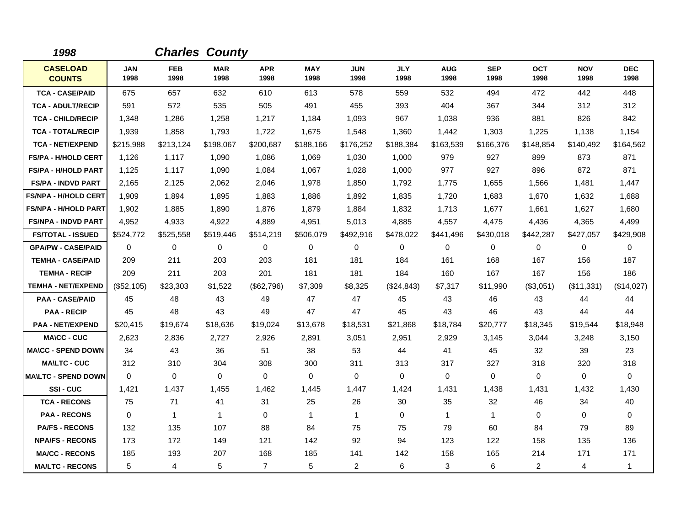| 1998                             |                    |                    | <b>Charles County</b> |                    |                    |                    |                    |                    |                    |                    |                    |                    |
|----------------------------------|--------------------|--------------------|-----------------------|--------------------|--------------------|--------------------|--------------------|--------------------|--------------------|--------------------|--------------------|--------------------|
| <b>CASELOAD</b><br><b>COUNTS</b> | <b>JAN</b><br>1998 | <b>FEB</b><br>1998 | <b>MAR</b><br>1998    | <b>APR</b><br>1998 | <b>MAY</b><br>1998 | <b>JUN</b><br>1998 | <b>JLY</b><br>1998 | <b>AUG</b><br>1998 | <b>SEP</b><br>1998 | <b>OCT</b><br>1998 | <b>NOV</b><br>1998 | <b>DEC</b><br>1998 |
| <b>TCA - CASE/PAID</b>           | 675                | 657                | 632                   | 610                | 613                | 578                | 559                | 532                | 494                | 472                | 442                | 448                |
| <b>TCA - ADULT/RECIP</b>         | 591                | 572                | 535                   | 505                | 491                | 455                | 393                | 404                | 367                | 344                | 312                | 312                |
| <b>TCA - CHILD/RECIP</b>         | 1,348              | 1,286              | 1,258                 | 1,217              | 1,184              | 1,093              | 967                | 1,038              | 936                | 881                | 826                | 842                |
| <b>TCA - TOTAL/RECIP</b>         | 1,939              | 1,858              | 1,793                 | 1,722              | 1,675              | 1,548              | 1,360              | 1,442              | 1,303              | 1,225              | 1,138              | 1,154              |
| <b>TCA - NET/EXPEND</b>          | \$215,988          | \$213,124          | \$198,067             | \$200,687          | \$188,166          | \$176,252          | \$188,384          | \$163,539          | \$166,376          | \$148,854          | \$140,492          | \$164,562          |
| <b>FS/PA - H/HOLD CERT</b>       | 1,126              | 1,117              | 1,090                 | 1,086              | 1,069              | 1,030              | 1,000              | 979                | 927                | 899                | 873                | 871                |
| <b>FS/PA - H/HOLD PART</b>       | 1,125              | 1,117              | 1,090                 | 1,084              | 1,067              | 1,028              | 1,000              | 977                | 927                | 896                | 872                | 871                |
| <b>FS/PA - INDVD PART</b>        | 2,165              | 2,125              | 2,062                 | 2,046              | 1,978              | 1,850              | 1,792              | 1,775              | 1,655              | 1,566              | 1,481              | 1,447              |
| <b>FS/NPA - H/HOLD CERT</b>      | 1,909              | 1,894              | 1,895                 | 1,883              | 1,886              | 1,892              | 1,835              | 1,720              | 1,683              | 1,670              | 1,632              | 1,688              |
| <b>FS/NPA - H/HOLD PART</b>      | 1,902              | 1,885              | 1.890                 | 1,876              | 1,879              | 1.884              | 1,832              | 1,713              | 1,677              | 1.661              | 1,627              | 1,680              |
| <b>FS/NPA - INDVD PART</b>       | 4,952              | 4,933              | 4,922                 | 4,889              | 4,951              | 5,013              | 4,885              | 4,557              | 4,475              | 4,436              | 4,365              | 4,499              |
| <b>FS/TOTAL - ISSUED</b>         | \$524,772          | \$525,558          | \$519,446             | \$514,219          | \$506,079          | \$492,916          | \$478,022          | \$441,496          | \$430,018          | \$442,287          | \$427,057          | \$429,908          |
| <b>GPA/PW - CASE/PAID</b>        | $\mathbf 0$        | 0                  | 0                     | 0                  | 0                  | 0                  | 0                  | 0                  | 0                  | 0                  | 0                  | 0                  |
| <b>TEMHA - CASE/PAID</b>         | 209                | 211                | 203                   | 203                | 181                | 181                | 184                | 161                | 168                | 167                | 156                | 187                |
| <b>TEMHA - RECIP</b>             | 209                | 211                | 203                   | 201                | 181                | 181                | 184                | 160                | 167                | 167                | 156                | 186                |
| <b>TEMHA - NET/EXPEND</b>        | (\$52,105)         | \$23,303           | \$1,522               | (\$62,796)         | \$7,309            | \$8,325            | (\$24,843)         | \$7,317            | \$11,990           | (\$3,051)          | (\$11,331)         | (\$14,027)         |
| <b>PAA - CASE/PAID</b>           | 45                 | 48                 | 43                    | 49                 | 47                 | 47                 | 45                 | 43                 | 46                 | 43                 | 44                 | 44                 |
| <b>PAA - RECIP</b>               | 45                 | 48                 | 43                    | 49                 | 47                 | 47                 | 45                 | 43                 | 46                 | 43                 | 44                 | 44                 |
| <b>PAA - NET/EXPEND</b>          | \$20,415           | \$19,674           | \$18,636              | \$19,024           | \$13,678           | \$18,531           | \$21,868           | \$18,784           | \$20,777           | \$18,345           | \$19,544           | \$18,948           |
| <b>MA\CC - CUC</b>               | 2,623              | 2,836              | 2,727                 | 2,926              | 2,891              | 3,051              | 2,951              | 2,929              | 3,145              | 3,044              | 3,248              | 3,150              |
| <b>MA\CC - SPEND DOWN</b>        | 34                 | 43                 | 36                    | 51                 | 38                 | 53                 | 44                 | 41                 | 45                 | 32                 | 39                 | 23                 |
| <b>MAILTC - CUC</b>              | 312                | 310                | 304                   | 308                | 300                | 311                | 313                | 317                | 327                | 318                | 320                | 318                |
| <b>MAILTC - SPEND DOWN</b>       | $\Omega$           | $\Omega$           | $\mathbf 0$           | $\mathbf 0$        | 0                  | $\Omega$           | $\Omega$           | $\mathbf 0$        | $\Omega$           | $\Omega$           | $\mathbf 0$        | 0                  |
| SSI-CUC                          | 1,421              | 1,437              | 1,455                 | 1,462              | 1,445              | 1,447              | 1,424              | 1,431              | 1,438              | 1,431              | 1,432              | 1,430              |
| <b>TCA - RECONS</b>              | 75                 | 71                 | 41                    | 31                 | 25                 | 26                 | 30                 | 35                 | 32                 | 46                 | 34                 | 40                 |
| <b>PAA - RECONS</b>              | $\Omega$           | $\mathbf{1}$       | $\overline{1}$        | $\Omega$           | $\overline{1}$     | $\mathbf{1}$       | $\Omega$           | $\mathbf{1}$       | $\mathbf 1$        | $\Omega$           | $\mathbf 0$        | $\mathbf 0$        |
| <b>PA/FS - RECONS</b>            | 132                | 135                | 107                   | 88                 | 84                 | 75                 | 75                 | 79                 | 60                 | 84                 | 79                 | 89                 |
| <b>NPA/FS - RECONS</b>           | 173                | 172                | 149                   | 121                | 142                | 92                 | 94                 | 123                | 122                | 158                | 135                | 136                |
| <b>MA/CC - RECONS</b>            | 185                | 193                | 207                   | 168                | 185                | 141                | 142                | 158                | 165                | 214                | 171                | 171                |
| <b>MA/LTC - RECONS</b>           | 5                  | $\overline{4}$     | 5                     | $\overline{7}$     | 5                  | 2                  | 6                  | 3                  | 6                  | $\overline{2}$     | 4                  | $\mathbf{1}$       |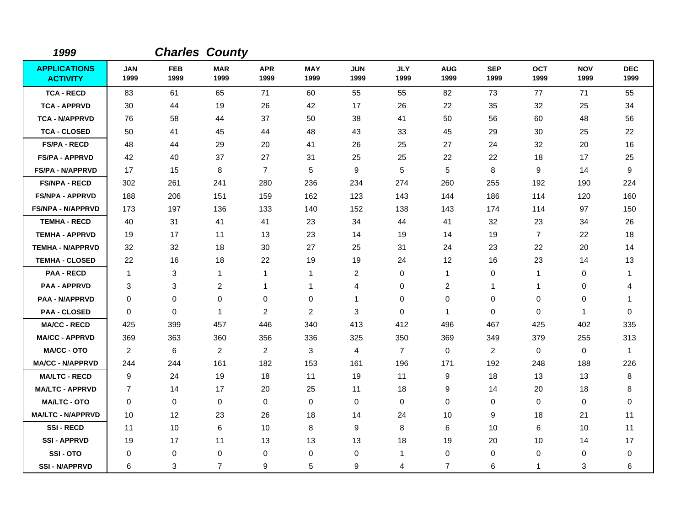| 1999                                   |                    | <b>Charles County</b> |                    |                    |                    |                    |                    |                    |                    |                    |                    |                    |
|----------------------------------------|--------------------|-----------------------|--------------------|--------------------|--------------------|--------------------|--------------------|--------------------|--------------------|--------------------|--------------------|--------------------|
| <b>APPLICATIONS</b><br><b>ACTIVITY</b> | <b>JAN</b><br>1999 | <b>FEB</b><br>1999    | <b>MAR</b><br>1999 | <b>APR</b><br>1999 | <b>MAY</b><br>1999 | <b>JUN</b><br>1999 | <b>JLY</b><br>1999 | <b>AUG</b><br>1999 | <b>SEP</b><br>1999 | <b>OCT</b><br>1999 | <b>NOV</b><br>1999 | <b>DEC</b><br>1999 |
| <b>TCA - RECD</b>                      | 83                 | 61                    | 65                 | 71                 | 60                 | 55                 | 55                 | 82                 | 73                 | 77                 | 71                 | 55                 |
| <b>TCA - APPRVD</b>                    | 30                 | 44                    | 19                 | 26                 | 42                 | 17                 | 26                 | 22                 | 35                 | 32                 | 25                 | 34                 |
| <b>TCA - N/APPRVD</b>                  | 76                 | 58                    | 44                 | 37                 | 50                 | 38                 | 41                 | 50                 | 56                 | 60                 | 48                 | 56                 |
| <b>TCA - CLOSED</b>                    | 50                 | 41                    | 45                 | 44                 | 48                 | 43                 | 33                 | 45                 | 29                 | 30                 | 25                 | 22                 |
| <b>FS/PA - RECD</b>                    | 48                 | 44                    | 29                 | 20                 | 41                 | 26                 | 25                 | 27                 | 24                 | 32                 | 20                 | 16                 |
| <b>FS/PA - APPRVD</b>                  | 42                 | 40                    | 37                 | 27                 | 31                 | 25                 | 25                 | 22                 | 22                 | 18                 | 17                 | 25                 |
| <b>FS/PA - N/APPRVD</b>                | 17                 | 15                    | 8                  | $\overline{7}$     | 5                  | 9                  | 5                  | 5                  | 8                  | 9                  | 14                 | 9                  |
| <b>FS/NPA - RECD</b>                   | 302                | 261                   | 241                | 280                | 236                | 234                | 274                | 260                | 255                | 192                | 190                | 224                |
| <b>FS/NPA - APPRVD</b>                 | 188                | 206                   | 151                | 159                | 162                | 123                | 143                | 144                | 186                | 114                | 120                | 160                |
| <b>FS/NPA - N/APPRVD</b>               | 173                | 197                   | 136                | 133                | 140                | 152                | 138                | 143                | 174                | 114                | 97                 | 150                |
| <b>TEMHA - RECD</b>                    | 40                 | 31                    | 41                 | 41                 | 23                 | 34                 | 44                 | 41                 | 32                 | 23                 | 34                 | 26                 |
| <b>TEMHA - APPRVD</b>                  | 19                 | 17                    | 11                 | 13                 | 23                 | 14                 | 19                 | 14                 | 19                 | $\overline{7}$     | 22                 | 18                 |
| <b>TEMHA - N/APPRVD</b>                | 32                 | 32                    | 18                 | 30                 | 27                 | 25                 | 31                 | 24                 | 23                 | 22                 | 20                 | 14                 |
| <b>TEMHA - CLOSED</b>                  | 22                 | 16                    | 18                 | 22                 | 19                 | 19                 | 24                 | 12                 | 16                 | 23                 | 14                 | 13                 |
| <b>PAA - RECD</b>                      | $\mathbf{1}$       | 3                     | $\mathbf{1}$       | 1                  | $\mathbf{1}$       | $\overline{c}$     | 0                  | $\mathbf{1}$       | 0                  | $\mathbf{1}$       | 0                  | 1                  |
| <b>PAA - APPRVD</b>                    | 3                  | 3                     | $\overline{c}$     | 1                  | $\mathbf 1$        | 4                  | $\pmb{0}$          | $\overline{c}$     | $\mathbf 1$        | 1                  | 0                  | 4                  |
| <b>PAA - N/APPRVD</b>                  | 0                  | 0                     | 0                  | 0                  | 0                  | 1                  | 0                  | 0                  | 0                  | 0                  | 0                  | -1                 |
| <b>PAA - CLOSED</b>                    | $\Omega$           | $\mathbf 0$           | $\overline{1}$     | 2                  | $\overline{2}$     | 3                  | $\mathbf 0$        | 1                  | 0                  | 0                  | 1                  | 0                  |
| <b>MA/CC - RECD</b>                    | 425                | 399                   | 457                | 446                | 340                | 413                | 412                | 496                | 467                | 425                | 402                | 335                |
| <b>MA/CC - APPRVD</b>                  | 369                | 363                   | 360                | 356                | 336                | 325                | 350                | 369                | 349                | 379                | 255                | 313                |
| <b>MA/CC - OTO</b>                     | $\overline{2}$     | 6                     | $\overline{2}$     | $\overline{2}$     | 3                  | 4                  | $\overline{7}$     | 0                  | $\overline{2}$     | $\mathbf 0$        | 0                  | $\overline{1}$     |
| <b>MA/CC - N/APPRVD</b>                | 244                | 244                   | 161                | 182                | 153                | 161                | 196                | 171                | 192                | 248                | 188                | 226                |
| <b>MA/LTC - RECD</b>                   | 9                  | 24                    | 19                 | 18                 | 11                 | 19                 | 11                 | 9                  | 18                 | 13                 | 13                 | 8                  |
| <b>MA/LTC - APPRVD</b>                 | $\overline{7}$     | 14                    | 17                 | 20                 | 25                 | 11                 | 18                 | 9                  | 14                 | 20                 | 18                 | 8                  |
| <b>MA/LTC - OTO</b>                    | 0                  | 0                     | 0                  | 0                  | 0                  | $\mathbf 0$        | 0                  | 0                  | $\mathbf 0$        | 0                  | 0                  | 0                  |
| <b>MA/LTC - N/APPRVD</b>               | 10                 | 12 <sup>°</sup>       | 23                 | 26                 | 18                 | 14                 | 24                 | 10                 | 9                  | 18                 | 21                 | 11                 |
| <b>SSI-RECD</b>                        | 11                 | 10                    | 6                  | 10                 | 8                  | 9                  | 8                  | 6                  | 10                 | 6                  | 10                 | 11                 |
| <b>SSI-APPRVD</b>                      | 19                 | 17                    | 11                 | 13                 | 13                 | 13                 | 18                 | 19                 | 20                 | 10                 | 14                 | 17                 |
| SSI-OTO                                | 0                  | 0                     | $\mathbf 0$        | 0                  | 0                  | 0                  | 1                  | 0                  | 0                  | 0                  | 0                  | 0                  |
| <b>SSI-N/APPRVD</b>                    | 6                  | 3                     | $\overline{7}$     | 9                  | 5                  | 9                  | 4                  | $\overline{7}$     | 6                  | 1                  | 3                  | 6                  |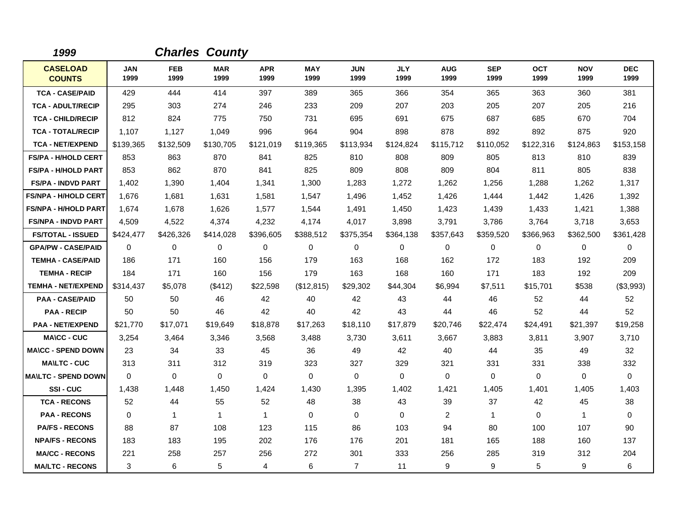| 1999                             |                    |                    | <b>Charles County</b> |                    |                    |                    |                    |                    |                    |                    |                    |                    |
|----------------------------------|--------------------|--------------------|-----------------------|--------------------|--------------------|--------------------|--------------------|--------------------|--------------------|--------------------|--------------------|--------------------|
| <b>CASELOAD</b><br><b>COUNTS</b> | <b>JAN</b><br>1999 | <b>FEB</b><br>1999 | <b>MAR</b><br>1999    | <b>APR</b><br>1999 | <b>MAY</b><br>1999 | <b>JUN</b><br>1999 | <b>JLY</b><br>1999 | <b>AUG</b><br>1999 | <b>SEP</b><br>1999 | <b>OCT</b><br>1999 | <b>NOV</b><br>1999 | <b>DEC</b><br>1999 |
| <b>TCA - CASE/PAID</b>           | 429                | 444                | 414                   | 397                | 389                | 365                | 366                | 354                | 365                | 363                | 360                | 381                |
| <b>TCA - ADULT/RECIP</b>         | 295                | 303                | 274                   | 246                | 233                | 209                | 207                | 203                | 205                | 207                | 205                | 216                |
| <b>TCA - CHILD/RECIP</b>         | 812                | 824                | 775                   | 750                | 731                | 695                | 691                | 675                | 687                | 685                | 670                | 704                |
| <b>TCA - TOTAL/RECIP</b>         | 1,107              | 1,127              | 1,049                 | 996                | 964                | 904                | 898                | 878                | 892                | 892                | 875                | 920                |
| <b>TCA - NET/EXPEND</b>          | \$139,365          | \$132,509          | \$130,705             | \$121,019          | \$119,365          | \$113,934          | \$124,824          | \$115,712          | \$110,052          | \$122,316          | \$124,863          | \$153,158          |
| <b>FS/PA - H/HOLD CERT</b>       | 853                | 863                | 870                   | 841                | 825                | 810                | 808                | 809                | 805                | 813                | 810                | 839                |
| <b>FS/PA - H/HOLD PART</b>       | 853                | 862                | 870                   | 841                | 825                | 809                | 808                | 809                | 804                | 811                | 805                | 838                |
| <b>FS/PA - INDVD PART</b>        | 1,402              | 1,390              | 1.404                 | 1,341              | 1,300              | 1,283              | 1,272              | 1,262              | 1,256              | 1,288              | 1,262              | 1,317              |
| <b>FS/NPA - H/HOLD CERT</b>      | 1,676              | 1,681              | 1,631                 | 1,581              | 1,547              | 1,496              | 1,452              | 1,426              | 1,444              | 1,442              | 1,426              | 1,392              |
| <b>FS/NPA - H/HOLD PART</b>      | 1,674              | 1,678              | 1,626                 | 1,577              | 1,544              | 1,491              | 1,450              | 1,423              | 1,439              | 1,433              | 1,421              | 1,388              |
| <b>FS/NPA - INDVD PART</b>       | 4,509              | 4,522              | 4,374                 | 4,232              | 4,174              | 4,017              | 3,898              | 3,791              | 3,786              | 3,764              | 3,718              | 3,653              |
| <b>FS/TOTAL - ISSUED</b>         | \$424,477          | \$426,326          | \$414,028             | \$396,605          | \$388,512          | \$375,354          | \$364,138          | \$357,643          | \$359,520          | \$366,963          | \$362,500          | \$361,428          |
| <b>GPA/PW - CASE/PAID</b>        | $\mathbf 0$        | 0                  | 0                     | 0                  | 0                  | 0                  | 0                  | 0                  | 0                  | 0                  | 0                  | 0                  |
| <b>TEMHA - CASE/PAID</b>         | 186                | 171                | 160                   | 156                | 179                | 163                | 168                | 162                | 172                | 183                | 192                | 209                |
| <b>TEMHA - RECIP</b>             | 184                | 171                | 160                   | 156                | 179                | 163                | 168                | 160                | 171                | 183                | 192                | 209                |
| <b>TEMHA - NET/EXPEND</b>        | \$314,437          | \$5,078            | (\$412)               | \$22,598           | (\$12,815)         | \$29,302           | \$44,304           | \$6,994            | \$7,511            | \$15,701           | \$538              | (\$3,993)          |
| <b>PAA - CASE/PAID</b>           | 50                 | 50                 | 46                    | 42                 | 40                 | 42                 | 43                 | 44                 | 46                 | 52                 | 44                 | 52                 |
| <b>PAA - RECIP</b>               | 50                 | 50                 | 46                    | 42                 | 40                 | 42                 | 43                 | 44                 | 46                 | 52                 | 44                 | 52                 |
| <b>PAA - NET/EXPEND</b>          | \$21,770           | \$17,071           | \$19,649              | \$18,878           | \$17,263           | \$18,110           | \$17,879           | \$20,746           | \$22,474           | \$24,491           | \$21,397           | \$19,258           |
| <b>MA\CC - CUC</b>               | 3,254              | 3,464              | 3,346                 | 3,568              | 3,488              | 3,730              | 3,611              | 3,667              | 3,883              | 3,811              | 3,907              | 3,710              |
| <b>MA\CC - SPEND DOWN</b>        | 23                 | 34                 | 33                    | 45                 | 36                 | 49                 | 42                 | 40                 | 44                 | 35                 | 49                 | 32                 |
| <b>MA\LTC - CUC</b>              | 313                | 311                | 312                   | 319                | 323                | 327                | 329                | 321                | 331                | 331                | 338                | 332                |
| <b>MAILTC - SPEND DOWN</b>       | $\Omega$           | $\Omega$           | $\Omega$              | $\Omega$           | $\Omega$           | $\Omega$           | $\Omega$           | 0                  | $\Omega$           | $\Omega$           | $\mathbf 0$        | $\Omega$           |
| SSI-CUC                          | 1,438              | 1,448              | 1,450                 | 1,424              | 1,430              | 1,395              | 1,402              | 1,421              | 1,405              | 1,401              | 1,405              | 1,403              |
| <b>TCA - RECONS</b>              | 52                 | 44                 | 55                    | 52                 | 48                 | 38                 | 43                 | 39                 | 37                 | 42                 | 45                 | 38                 |
| <b>PAA - RECONS</b>              | $\mathbf 0$        | 1                  | $\overline{1}$        | $\mathbf{1}$       | 0                  | $\mathbf 0$        | 0                  | $\overline{c}$     | $\mathbf 1$        | 0                  | $\mathbf{1}$       | $\mathbf 0$        |
| <b>PA/FS - RECONS</b>            | 88                 | 87                 | 108                   | 123                | 115                | 86                 | 103                | 94                 | 80                 | 100                | 107                | 90                 |
| <b>NPA/FS - RECONS</b>           | 183                | 183                | 195                   | 202                | 176                | 176                | 201                | 181                | 165                | 188                | 160                | 137                |
| <b>MA/CC - RECONS</b>            | 221                | 258                | 257                   | 256                | 272                | 301                | 333                | 256                | 285                | 319                | 312                | 204                |
| <b>MA/LTC - RECONS</b>           | 3                  | 6                  | 5                     | 4                  | 6                  | $\overline{7}$     | 11                 | 9                  | 9                  | 5                  | 9                  | 6                  |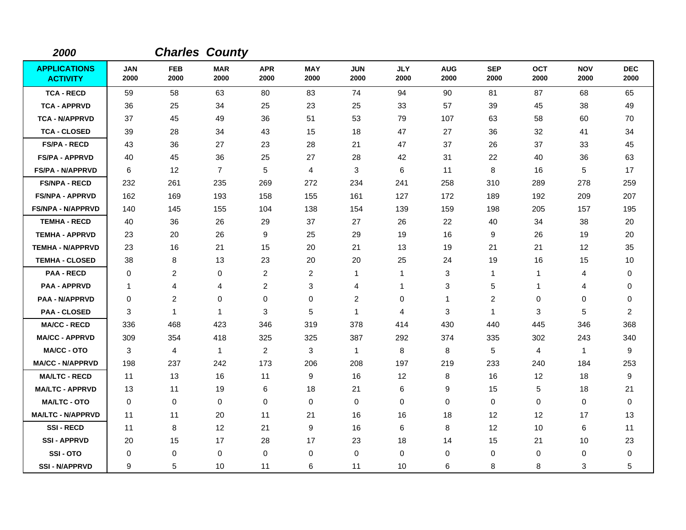| 2000                                   |                    |                    | <b>Charles County</b> |                    |                    |                    |                    |                    |                    |                    |                    |                    |
|----------------------------------------|--------------------|--------------------|-----------------------|--------------------|--------------------|--------------------|--------------------|--------------------|--------------------|--------------------|--------------------|--------------------|
| <b>APPLICATIONS</b><br><b>ACTIVITY</b> | <b>JAN</b><br>2000 | <b>FEB</b><br>2000 | <b>MAR</b><br>2000    | <b>APR</b><br>2000 | <b>MAY</b><br>2000 | <b>JUN</b><br>2000 | <b>JLY</b><br>2000 | <b>AUG</b><br>2000 | <b>SEP</b><br>2000 | <b>OCT</b><br>2000 | <b>NOV</b><br>2000 | <b>DEC</b><br>2000 |
| <b>TCA - RECD</b>                      | 59                 | 58                 | 63                    | 80                 | 83                 | 74                 | 94                 | 90                 | 81                 | 87                 | 68                 | 65                 |
| <b>TCA - APPRVD</b>                    | 36                 | 25                 | 34                    | 25                 | 23                 | 25                 | 33                 | 57                 | 39                 | 45                 | 38                 | 49                 |
| <b>TCA - N/APPRVD</b>                  | 37                 | 45                 | 49                    | 36                 | 51                 | 53                 | 79                 | 107                | 63                 | 58                 | 60                 | 70                 |
| <b>TCA - CLOSED</b>                    | 39                 | 28                 | 34                    | 43                 | 15                 | 18                 | 47                 | 27                 | 36                 | 32                 | 41                 | 34                 |
| <b>FS/PA - RECD</b>                    | 43                 | 36                 | 27                    | 23                 | 28                 | 21                 | 47                 | 37                 | 26                 | 37                 | 33                 | 45                 |
| <b>FS/PA - APPRVD</b>                  | 40                 | 45                 | 36                    | 25                 | 27                 | 28                 | 42                 | 31                 | 22                 | 40                 | 36                 | 63                 |
| <b>FS/PA - N/APPRVD</b>                | 6                  | 12                 | $\overline{7}$        | 5                  | 4                  | 3                  | 6                  | 11                 | 8                  | 16                 | 5                  | 17                 |
| <b>FS/NPA - RECD</b>                   | 232                | 261                | 235                   | 269                | 272                | 234                | 241                | 258                | 310                | 289                | 278                | 259                |
| <b>FS/NPA - APPRVD</b>                 | 162                | 169                | 193                   | 158                | 155                | 161                | 127                | 172                | 189                | 192                | 209                | 207                |
| <b>FS/NPA - N/APPRVD</b>               | 140                | 145                | 155                   | 104                | 138                | 154                | 139                | 159                | 198                | 205                | 157                | 195                |
| <b>TEMHA - RECD</b>                    | 40                 | 36                 | 26                    | 29                 | 37                 | 27                 | 26                 | 22                 | 40                 | 34                 | 38                 | 20                 |
| <b>TEMHA - APPRVD</b>                  | 23                 | 20                 | 26                    | 9                  | 25                 | 29                 | 19                 | 16                 | 9                  | 26                 | 19                 | 20                 |
| <b>TEMHA - N/APPRVD</b>                | 23                 | 16                 | 21                    | 15                 | 20                 | 21                 | 13                 | 19                 | 21                 | 21                 | 12                 | 35                 |
| <b>TEMHA - CLOSED</b>                  | 38                 | 8                  | 13                    | 23                 | 20                 | 20                 | 25                 | 24                 | 19                 | 16                 | 15                 | 10                 |
| <b>PAA - RECD</b>                      | 0                  | 2                  | 0                     | $\overline{c}$     | $\overline{c}$     | 1                  | $\mathbf{1}$       | 3                  | 1                  | 1                  | 4                  | 0                  |
| <b>PAA - APPRVD</b>                    | -1                 | $\overline{4}$     | 4                     | $\overline{c}$     | $\mathbf{3}$       | 4                  | 1                  | 3                  | 5                  | 1                  | 4                  | $\mathbf 0$        |
| <b>PAA - N/APPRVD</b>                  | 0                  | $\overline{c}$     | 0                     | 0                  | $\mathbf 0$        | $\overline{c}$     | $\mathbf 0$        | $\mathbf{1}$       | $\overline{c}$     | $\mathbf 0$        | 0                  | 0                  |
| <b>PAA - CLOSED</b>                    | 3                  | 1                  | $\overline{1}$        | 3                  | 5                  | 1                  | 4                  | 3                  | $\mathbf 1$        | 3                  | 5                  | $\overline{2}$     |
| <b>MA/CC - RECD</b>                    | 336                | 468                | 423                   | 346                | 319                | 378                | 414                | 430                | 440                | 445                | 346                | 368                |
| <b>MA/CC - APPRVD</b>                  | 309                | 354                | 418                   | 325                | 325                | 387                | 292                | 374                | 335                | 302                | 243                | 340                |
| <b>MA/CC - OTO</b>                     | 3                  | 4                  | $\mathbf{1}$          | $\overline{c}$     | 3                  | $\mathbf 1$        | 8                  | 8                  | 5                  | 4                  | $\mathbf{1}$       | 9                  |
| <b>MA/CC - N/APPRVD</b>                | 198                | 237                | 242                   | 173                | 206                | 208                | 197                | 219                | 233                | 240                | 184                | 253                |
| <b>MA/LTC - RECD</b>                   | 11                 | 13                 | 16                    | 11                 | 9                  | 16                 | $12 \,$            | 8                  | 16                 | 12                 | 18                 | 9                  |
| <b>MA/LTC - APPRVD</b>                 | 13                 | 11                 | 19                    | 6                  | 18                 | 21                 | 6                  | 9                  | 15                 | 5                  | 18                 | 21                 |
| <b>MA/LTC - OTO</b>                    | $\mathbf 0$        | 0                  | 0                     | $\mathbf 0$        | 0                  | $\mathbf 0$        | 0                  | 0                  | $\mathbf 0$        | 0                  | 0                  | 0                  |
| <b>MA/LTC - N/APPRVD</b>               | 11                 | 11                 | 20                    | 11                 | 21                 | 16                 | 16                 | 18                 | 12                 | 12                 | 17                 | 13                 |
| <b>SSI-RECD</b>                        | 11                 | 8                  | 12                    | 21                 | 9                  | 16                 | 6                  | 8                  | $12 \overline{ }$  | 10                 | 6                  | 11                 |
| <b>SSI - APPRVD</b>                    | 20                 | 15                 | 17                    | 28                 | 17                 | 23                 | 18                 | 14                 | 15                 | 21                 | 10                 | 23                 |
| SSI-OTO                                | $\Omega$           | 0                  | $\mathbf 0$           | $\mathbf 0$        | $\mathbf 0$        | 0                  | $\mathbf 0$        | 0                  | $\mathbf 0$        | 0                  | 0                  | 0                  |
| <b>SSI-N/APPRVD</b>                    | 9                  | 5                  | 10                    | 11                 | 6                  | 11                 | 10                 | 6                  | 8                  | 8                  | 3                  | 5                  |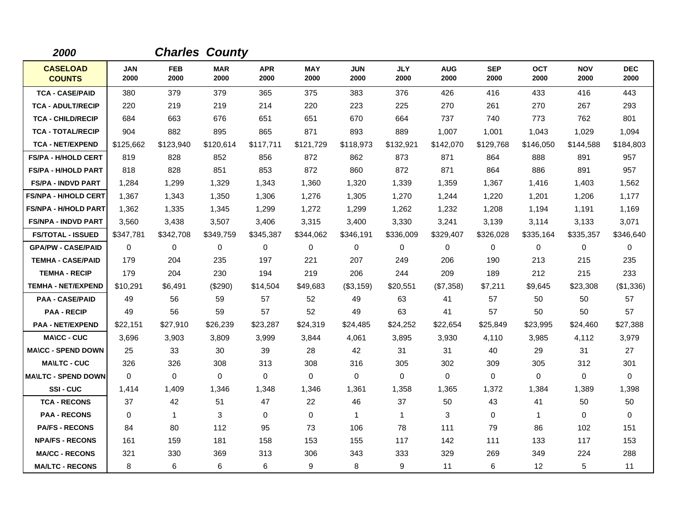| 2000                             |                    |                    | <b>Charles County</b> |                    |                    |                    |                    |                    |                    |                    |                    |                    |
|----------------------------------|--------------------|--------------------|-----------------------|--------------------|--------------------|--------------------|--------------------|--------------------|--------------------|--------------------|--------------------|--------------------|
| <b>CASELOAD</b><br><b>COUNTS</b> | <b>JAN</b><br>2000 | <b>FEB</b><br>2000 | <b>MAR</b><br>2000    | <b>APR</b><br>2000 | <b>MAY</b><br>2000 | <b>JUN</b><br>2000 | <b>JLY</b><br>2000 | <b>AUG</b><br>2000 | <b>SEP</b><br>2000 | <b>OCT</b><br>2000 | <b>NOV</b><br>2000 | <b>DEC</b><br>2000 |
| <b>TCA - CASE/PAID</b>           | 380                | 379                | 379                   | 365                | 375                | 383                | 376                | 426                | 416                | 433                | 416                | 443                |
| <b>TCA - ADULT/RECIP</b>         | 220                | 219                | 219                   | 214                | 220                | 223                | 225                | 270                | 261                | 270                | 267                | 293                |
| <b>TCA - CHILD/RECIP</b>         | 684                | 663                | 676                   | 651                | 651                | 670                | 664                | 737                | 740                | 773                | 762                | 801                |
| <b>TCA - TOTAL/RECIP</b>         | 904                | 882                | 895                   | 865                | 871                | 893                | 889                | 1,007              | 1,001              | 1,043              | 1,029              | 1,094              |
| <b>TCA - NET/EXPEND</b>          | \$125,662          | \$123,940          | \$120,614             | \$117,711          | \$121,729          | \$118,973          | \$132,921          | \$142,070          | \$129,768          | \$146,050          | \$144,588          | \$184,803          |
| <b>FS/PA - H/HOLD CERT</b>       | 819                | 828                | 852                   | 856                | 872                | 862                | 873                | 871                | 864                | 888                | 891                | 957                |
| <b>FS/PA - H/HOLD PART</b>       | 818                | 828                | 851                   | 853                | 872                | 860                | 872                | 871                | 864                | 886                | 891                | 957                |
| <b>FS/PA - INDVD PART</b>        | 1,284              | 1,299              | 1,329                 | 1,343              | 1,360              | 1,320              | 1,339              | 1,359              | 1,367              | 1,416              | 1,403              | 1,562              |
| <b>FS/NPA - H/HOLD CERT</b>      | 1,367              | 1,343              | 1,350                 | 1,306              | 1,276              | 1,305              | 1,270              | 1,244              | 1,220              | 1,201              | 1,206              | 1,177              |
| <b>FS/NPA - H/HOLD PART</b>      | 1,362              | 1,335              | 1,345                 | 1,299              | 1,272              | 1,299              | 1,262              | 1,232              | 1,208              | 1,194              | 1,191              | 1,169              |
| <b>FS/NPA - INDVD PART</b>       | 3,560              | 3,438              | 3,507                 | 3,406              | 3,315              | 3,400              | 3,330              | 3,241              | 3,139              | 3,114              | 3,133              | 3,071              |
| <b>FS/TOTAL - ISSUED</b>         | \$347,781          | \$342,708          | \$349,759             | \$345,387          | \$344,062          | \$346,191          | \$336,009          | \$329,407          | \$326,028          | \$335,164          | \$335,357          | \$346,640          |
| <b>GPA/PW - CASE/PAID</b>        | $\mathbf 0$        | 0                  | 0                     | 0                  | 0                  | 0                  | 0                  | 0                  | 0                  | 0                  | 0                  | 0                  |
| <b>TEMHA - CASE/PAID</b>         | 179                | 204                | 235                   | 197                | 221                | 207                | 249                | 206                | 190                | 213                | 215                | 235                |
| <b>TEMHA - RECIP</b>             | 179                | 204                | 230                   | 194                | 219                | 206                | 244                | 209                | 189                | 212                | 215                | 233                |
| <b>TEMHA - NET/EXPEND</b>        | \$10,291           | \$6,491            | (\$290)               | \$14,504           | \$49,683           | (\$3,159)          | \$20,551           | (\$7,358)          | \$7,211            | \$9,645            | \$23,308           | (\$1,336)          |
| <b>PAA - CASE/PAID</b>           | 49                 | 56                 | 59                    | 57                 | 52                 | 49                 | 63                 | 41                 | 57                 | 50                 | 50                 | 57                 |
| <b>PAA - RECIP</b>               | 49                 | 56                 | 59                    | 57                 | 52                 | 49                 | 63                 | 41                 | 57                 | 50                 | 50                 | 57                 |
| <b>PAA - NET/EXPEND</b>          | \$22,151           | \$27,910           | \$26,239              | \$23,287           | \$24,319           | \$24,485           | \$24,252           | \$22,654           | \$25,849           | \$23,995           | \$24,460           | \$27,388           |
| <b>MA\CC - CUC</b>               | 3,696              | 3,903              | 3,809                 | 3,999              | 3,844              | 4,061              | 3,895              | 3,930              | 4,110              | 3,985              | 4,112              | 3,979              |
| <b>MA\CC - SPEND DOWN</b>        | 25                 | 33                 | 30                    | 39                 | 28                 | 42                 | 31                 | 31                 | 40                 | 29                 | 31                 | 27                 |
| <b>MA\LTC - CUC</b>              | 326                | 326                | 308                   | 313                | 308                | 316                | 305                | 302                | 309                | 305                | 312                | 301                |
| <b>MAILTC - SPEND DOWN</b>       | $\Omega$           | $\Omega$           | $\mathbf 0$           | $\Omega$           | $\Omega$           | $\Omega$           | $\Omega$           | 0                  | $\Omega$           | $\Omega$           | $\mathbf 0$        | $\Omega$           |
| SSI-CUC                          | 1,414              | 1,409              | 1,346                 | 1,348              | 1,346              | 1,361              | 1,358              | 1,365              | 1,372              | 1,384              | 1,389              | 1,398              |
| <b>TCA - RECONS</b>              | 37                 | 42                 | 51                    | 47                 | 22                 | 46                 | 37                 | 50                 | 43                 | 41                 | 50                 | 50                 |
| <b>PAA - RECONS</b>              | $\mathbf 0$        | 1                  | 3                     | 0                  | $\pmb{0}$          | $\mathbf{1}$       | $\mathbf{1}$       | 3                  | $\mathbf 0$        | 1                  | 0                  | $\mathbf 0$        |
| <b>PA/FS - RECONS</b>            | 84                 | 80                 | 112                   | 95                 | 73                 | 106                | 78                 | 111                | 79                 | 86                 | 102                | 151                |
| <b>NPA/FS - RECONS</b>           | 161                | 159                | 181                   | 158                | 153                | 155                | 117                | 142                | 111                | 133                | 117                | 153                |
| <b>MA/CC - RECONS</b>            | 321                | 330                | 369                   | 313                | 306                | 343                | 333                | 329                | 269                | 349                | 224                | 288                |
| <b>MA/LTC - RECONS</b>           | 8                  | 6                  | 6                     | 6                  | 9                  | 8                  | 9                  | 11                 | 6                  | $12 \overline{ }$  | 5                  | 11                 |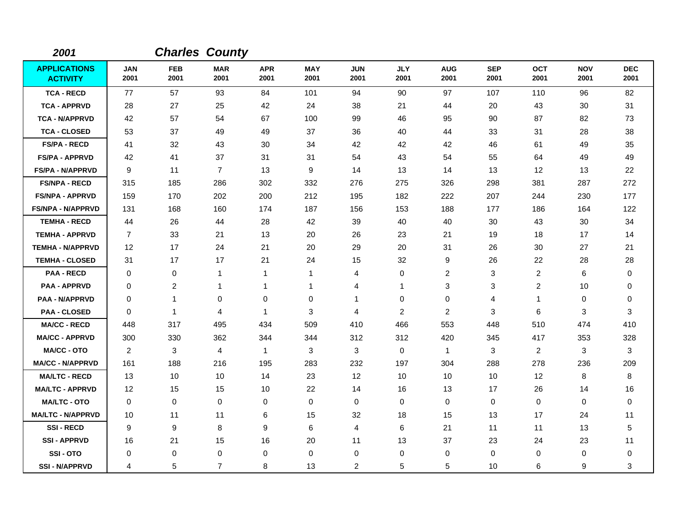| 2001                                   |                    |                    | <b>Charles County</b> |                    |                    |                    |                    |                    |                    |                    |                    |                    |
|----------------------------------------|--------------------|--------------------|-----------------------|--------------------|--------------------|--------------------|--------------------|--------------------|--------------------|--------------------|--------------------|--------------------|
| <b>APPLICATIONS</b><br><b>ACTIVITY</b> | <b>JAN</b><br>2001 | <b>FEB</b><br>2001 | <b>MAR</b><br>2001    | <b>APR</b><br>2001 | <b>MAY</b><br>2001 | <b>JUN</b><br>2001 | <b>JLY</b><br>2001 | <b>AUG</b><br>2001 | <b>SEP</b><br>2001 | <b>OCT</b><br>2001 | <b>NOV</b><br>2001 | <b>DEC</b><br>2001 |
| <b>TCA - RECD</b>                      | 77                 | 57                 | 93                    | 84                 | 101                | 94                 | 90                 | 97                 | 107                | 110                | 96                 | 82                 |
| <b>TCA - APPRVD</b>                    | 28                 | 27                 | 25                    | 42                 | 24                 | 38                 | 21                 | 44                 | 20                 | 43                 | 30                 | 31                 |
| <b>TCA - N/APPRVD</b>                  | 42                 | 57                 | 54                    | 67                 | 100                | 99                 | 46                 | 95                 | 90                 | 87                 | 82                 | 73                 |
| <b>TCA - CLOSED</b>                    | 53                 | 37                 | 49                    | 49                 | 37                 | 36                 | 40                 | 44                 | 33                 | 31                 | 28                 | 38                 |
| <b>FS/PA - RECD</b>                    | 41                 | 32                 | 43                    | 30                 | 34                 | 42                 | 42                 | 42                 | 46                 | 61                 | 49                 | 35                 |
| <b>FS/PA - APPRVD</b>                  | 42                 | 41                 | 37                    | 31                 | 31                 | 54                 | 43                 | 54                 | 55                 | 64                 | 49                 | 49                 |
| <b>FS/PA - N/APPRVD</b>                | 9                  | 11                 | $\overline{7}$        | 13                 | 9                  | 14                 | 13                 | 14                 | 13                 | 12                 | 13                 | 22                 |
| <b>FS/NPA - RECD</b>                   | 315                | 185                | 286                   | 302                | 332                | 276                | 275                | 326                | 298                | 381                | 287                | 272                |
| <b>FS/NPA - APPRVD</b>                 | 159                | 170                | 202                   | 200                | 212                | 195                | 182                | 222                | 207                | 244                | 230                | 177                |
| FS/NPA - N/APPRVD                      | 131                | 168                | 160                   | 174                | 187                | 156                | 153                | 188                | 177                | 186                | 164                | 122                |
| <b>TEMHA - RECD</b>                    | 44                 | 26                 | 44                    | 28                 | 42                 | 39                 | 40                 | 40                 | 30                 | 43                 | 30                 | 34                 |
| <b>TEMHA - APPRVD</b>                  | $\overline{7}$     | 33                 | 21                    | 13                 | 20                 | 26                 | 23                 | 21                 | 19                 | 18                 | 17                 | 14                 |
| <b>TEMHA - N/APPRVD</b>                | 12                 | 17                 | 24                    | 21                 | 20                 | 29                 | 20                 | 31                 | 26                 | 30                 | 27                 | 21                 |
| <b>TEMHA - CLOSED</b>                  | 31                 | 17                 | 17                    | 21                 | 24                 | 15                 | 32                 | 9                  | 26                 | 22                 | 28                 | 28                 |
| <b>PAA - RECD</b>                      | 0                  | 0                  | $\mathbf{1}$          | 1                  | $\mathbf{1}$       | 4                  | 0                  | 2                  | 3                  | $\overline{c}$     | 6                  | 0                  |
| <b>PAA - APPRVD</b>                    | 0                  | $\overline{c}$     | $\mathbf{1}$          | 1                  | 1                  | 4                  | 1                  | 3                  | 3                  | $\overline{2}$     | 10                 | 0                  |
| <b>PAA - N/APPRVD</b>                  | 0                  | 1                  | 0                     | $\mathbf 0$        | $\mathbf 0$        | 1                  | $\mathbf 0$        | 0                  | $\overline{4}$     | $\mathbf 1$        | 0                  | 0                  |
| <b>PAA - CLOSED</b>                    | 0                  | $\mathbf{1}$       | $\overline{4}$        | 1                  | 3                  | 4                  | 2                  | 2                  | 3                  | 6                  | 3                  | 3                  |
| <b>MA/CC - RECD</b>                    | 448                | 317                | 495                   | 434                | 509                | 410                | 466                | 553                | 448                | 510                | 474                | 410                |
| <b>MA/CC - APPRVD</b>                  | 300                | 330                | 362                   | 344                | 344                | 312                | 312                | 420                | 345                | 417                | 353                | 328                |
| <b>MA/CC - OTO</b>                     | 2                  | 3                  | $\overline{4}$        | $\mathbf{1}$       | 3                  | 3                  | 0                  | $\mathbf{1}$       | 3                  | $\overline{2}$     | 3                  | 3                  |
| <b>MA/CC - N/APPRVD</b>                | 161                | 188                | 216                   | 195                | 283                | 232                | 197                | 304                | 288                | 278                | 236                | 209                |
| <b>MA/LTC - RECD</b>                   | 13                 | 10                 | 10                    | 14                 | 23                 | 12                 | 10                 | 10                 | 10                 | $12 \,$            | 8                  | 8                  |
| <b>MA/LTC - APPRVD</b>                 | 12                 | 15                 | 15                    | 10                 | 22                 | 14                 | 16                 | 13                 | 17                 | 26                 | 14                 | 16                 |
| <b>MA/LTC - OTO</b>                    | 0                  | 0                  | 0                     | 0                  | 0                  | 0                  | 0                  | 0                  | 0                  | 0                  | 0                  | 0                  |
| <b>MA/LTC - N/APPRVD</b>               | 10                 | 11                 | 11                    | 6                  | 15                 | 32                 | 18                 | 15                 | 13                 | 17                 | 24                 | 11                 |
| <b>SSI-RECD</b>                        | 9                  | 9                  | 8                     | 9                  | 6                  | 4                  | 6                  | 21                 | 11                 | 11                 | 13                 | 5                  |
| <b>SSI - APPRVD</b>                    | 16                 | 21                 | 15                    | 16                 | 20                 | 11                 | 13                 | 37                 | 23                 | 24                 | 23                 | 11                 |
| SSI-OTO                                | 0                  | 0                  | $\mathbf 0$           | 0                  | 0                  | 0                  | 0                  | 0                  | 0                  | 0                  | 0                  | 0                  |
| <b>SSI - N/APPRVD</b>                  | 4                  | 5                  | $\overline{7}$        | 8                  | 13                 | $\overline{c}$     | 5                  | 5                  | 10                 | 6                  | 9                  | 3                  |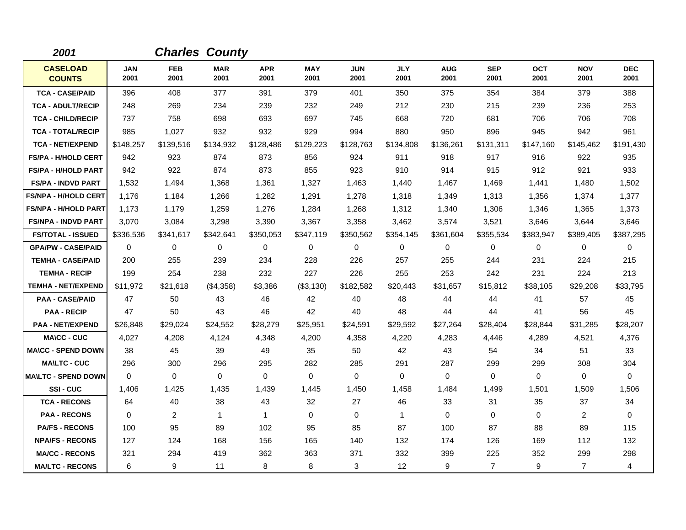| 2001                             |                    |                    | <b>Charles County</b> |                    |                    |                    |                    |                    |                    |                    |                    |                    |
|----------------------------------|--------------------|--------------------|-----------------------|--------------------|--------------------|--------------------|--------------------|--------------------|--------------------|--------------------|--------------------|--------------------|
| <b>CASELOAD</b><br><b>COUNTS</b> | <b>JAN</b><br>2001 | <b>FEB</b><br>2001 | <b>MAR</b><br>2001    | <b>APR</b><br>2001 | <b>MAY</b><br>2001 | <b>JUN</b><br>2001 | <b>JLY</b><br>2001 | <b>AUG</b><br>2001 | <b>SEP</b><br>2001 | <b>OCT</b><br>2001 | <b>NOV</b><br>2001 | <b>DEC</b><br>2001 |
| <b>TCA - CASE/PAID</b>           | 396                | 408                | 377                   | 391                | 379                | 401                | 350                | 375                | 354                | 384                | 379                | 388                |
| <b>TCA - ADULT/RECIP</b>         | 248                | 269                | 234                   | 239                | 232                | 249                | 212                | 230                | 215                | 239                | 236                | 253                |
| <b>TCA - CHILD/RECIP</b>         | 737                | 758                | 698                   | 693                | 697                | 745                | 668                | 720                | 681                | 706                | 706                | 708                |
| <b>TCA - TOTAL/RECIP</b>         | 985                | 1,027              | 932                   | 932                | 929                | 994                | 880                | 950                | 896                | 945                | 942                | 961                |
| <b>TCA - NET/EXPEND</b>          | \$148,257          | \$139,516          | \$134,932             | \$128,486          | \$129,223          | \$128,763          | \$134,808          | \$136,261          | \$131,311          | \$147,160          | \$145,462          | \$191,430          |
| <b>FS/PA - H/HOLD CERT</b>       | 942                | 923                | 874                   | 873                | 856                | 924                | 911                | 918                | 917                | 916                | 922                | 935                |
| <b>FS/PA - H/HOLD PART</b>       | 942                | 922                | 874                   | 873                | 855                | 923                | 910                | 914                | 915                | 912                | 921                | 933                |
| <b>FS/PA - INDVD PART</b>        | 1,532              | 1,494              | 1,368                 | 1,361              | 1,327              | 1,463              | 1,440              | 1,467              | 1,469              | 1,441              | 1,480              | 1,502              |
| <b>FS/NPA - H/HOLD CERT</b>      | 1,176              | 1,184              | 1,266                 | 1,282              | 1,291              | 1,278              | 1,318              | 1,349              | 1,313              | 1,356              | 1,374              | 1,377              |
| <b>FS/NPA - H/HOLD PART</b>      | 1,173              | 1,179              | 1,259                 | 1,276              | 1,284              | 1.268              | 1,312              | 1,340              | 1,306              | 1.346              | 1,365              | 1,373              |
| <b>FS/NPA - INDVD PART</b>       | 3,070              | 3,084              | 3,298                 | 3,390              | 3,367              | 3,358              | 3,462              | 3,574              | 3,521              | 3,646              | 3,644              | 3,646              |
| <b>FS/TOTAL - ISSUED</b>         | \$336,536          | \$341,617          | \$342,641             | \$350,053          | \$347,119          | \$350,562          | \$354,145          | \$361,604          | \$355,534          | \$383,947          | \$389,405          | \$387,295          |
| <b>GPA/PW - CASE/PAID</b>        | 0                  | 0                  | 0                     | 0                  | 0                  | 0                  | 0                  | 0                  | 0                  | 0                  | 0                  | 0                  |
| <b>TEMHA - CASE/PAID</b>         | 200                | 255                | 239                   | 234                | 228                | 226                | 257                | 255                | 244                | 231                | 224                | 215                |
| <b>TEMHA - RECIP</b>             | 199                | 254                | 238                   | 232                | 227                | 226                | 255                | 253                | 242                | 231                | 224                | 213                |
| <b>TEMHA - NET/EXPEND</b>        | \$11,972           | \$21,618           | (\$4,358)             | \$3,386            | (\$3,130)          | \$182,582          | \$20,443           | \$31,657           | \$15,812           | \$38,105           | \$29,208           | \$33,795           |
| <b>PAA - CASE/PAID</b>           | 47                 | 50                 | 43                    | 46                 | 42                 | 40                 | 48                 | 44                 | 44                 | 41                 | 57                 | 45                 |
| <b>PAA - RECIP</b>               | 47                 | 50                 | 43                    | 46                 | 42                 | 40                 | 48                 | 44                 | 44                 | 41                 | 56                 | 45                 |
| <b>PAA - NET/EXPEND</b>          | \$26,848           | \$29,024           | \$24,552              | \$28,279           | \$25,951           | \$24,591           | \$29,592           | \$27,264           | \$28,404           | \$28,844           | \$31,285           | \$28,207           |
| <b>MA\CC - CUC</b>               | 4,027              | 4,208              | 4,124                 | 4,348              | 4,200              | 4,358              | 4,220              | 4,283              | 4,446              | 4,289              | 4,521              | 4,376              |
| <b>MA\CC - SPEND DOWN</b>        | 38                 | 45                 | 39                    | 49                 | 35                 | 50                 | 42                 | 43                 | 54                 | 34                 | 51                 | 33                 |
| <b>MAILTC - CUC</b>              | 296                | 300                | 296                   | 295                | 282                | 285                | 291                | 287                | 299                | 299                | 308                | 304                |
| <b>MA\LTC - SPEND DOWN</b>       | $\Omega$           | $\Omega$           | $\mathbf 0$           | $\mathbf 0$        | $\mathbf 0$        | $\mathbf 0$        | $\Omega$           | $\mathbf 0$        | $\mathbf 0$        | $\Omega$           | $\mathbf 0$        | $\Omega$           |
| SSI-CUC                          | 1,406              | 1,425              | 1,435                 | 1,439              | 1,445              | 1,450              | 1,458              | 1,484              | 1,499              | 1,501              | 1,509              | 1,506              |
| <b>TCA - RECONS</b>              | 64                 | 40                 | 38                    | 43                 | 32                 | 27                 | 46                 | 33                 | 31                 | 35                 | 37                 | 34                 |
| <b>PAA - RECONS</b>              | 0                  | 2                  | $\mathbf{1}$          | $\mathbf{1}$       | $\mathbf 0$        | $\Omega$           | $\mathbf{1}$       | $\Omega$           | $\Omega$           | $\Omega$           | 2                  | $\Omega$           |
| <b>PA/FS - RECONS</b>            | 100                | 95                 | 89                    | 102                | 95                 | 85                 | 87                 | 100                | 87                 | 88                 | 89                 | 115                |
| <b>NPA/FS - RECONS</b>           | 127                | 124                | 168                   | 156                | 165                | 140                | 132                | 174                | 126                | 169                | 112                | 132                |
| <b>MA/CC - RECONS</b>            | 321                | 294                | 419                   | 362                | 363                | 371                | 332                | 399                | 225                | 352                | 299                | 298                |
| <b>MA/LTC - RECONS</b>           | 6                  | 9                  | 11                    | 8                  | 8                  | 3                  | 12                 | 9                  | $\overline{7}$     | 9                  | $\overline{7}$     | $\overline{4}$     |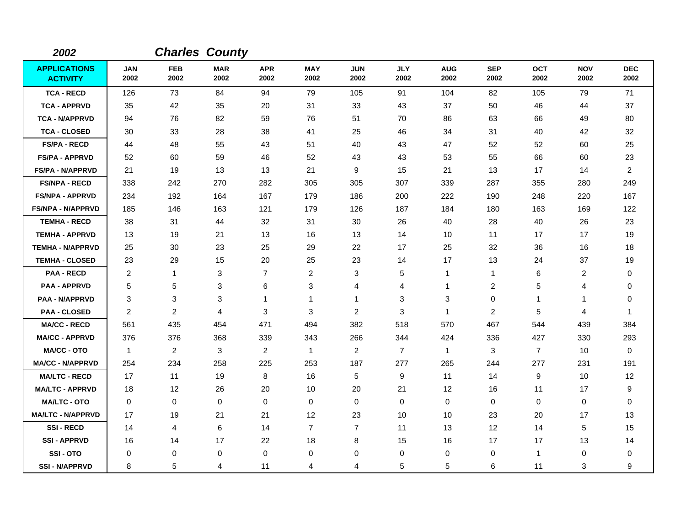| 2002                                   |                    |                    | <b>Charles County</b> |                    |                    |                    |                    |                    |                    |                    |                    |                    |
|----------------------------------------|--------------------|--------------------|-----------------------|--------------------|--------------------|--------------------|--------------------|--------------------|--------------------|--------------------|--------------------|--------------------|
| <b>APPLICATIONS</b><br><b>ACTIVITY</b> | <b>JAN</b><br>2002 | <b>FEB</b><br>2002 | <b>MAR</b><br>2002    | <b>APR</b><br>2002 | <b>MAY</b><br>2002 | <b>JUN</b><br>2002 | <b>JLY</b><br>2002 | <b>AUG</b><br>2002 | <b>SEP</b><br>2002 | <b>OCT</b><br>2002 | <b>NOV</b><br>2002 | <b>DEC</b><br>2002 |
| <b>TCA - RECD</b>                      | 126                | 73                 | 84                    | 94                 | 79                 | 105                | 91                 | 104                | 82                 | 105                | 79                 | 71                 |
| <b>TCA - APPRVD</b>                    | 35                 | 42                 | 35                    | 20                 | 31                 | 33                 | 43                 | 37                 | 50                 | 46                 | 44                 | 37                 |
| <b>TCA - N/APPRVD</b>                  | 94                 | 76                 | 82                    | 59                 | 76                 | 51                 | 70                 | 86                 | 63                 | 66                 | 49                 | 80                 |
| <b>TCA - CLOSED</b>                    | 30                 | 33                 | 28                    | 38                 | 41                 | 25                 | 46                 | 34                 | 31                 | 40                 | 42                 | 32                 |
| <b>FS/PA - RECD</b>                    | 44                 | 48                 | 55                    | 43                 | 51                 | 40                 | 43                 | 47                 | 52                 | 52                 | 60                 | 25                 |
| <b>FS/PA - APPRVD</b>                  | 52                 | 60                 | 59                    | 46                 | 52                 | 43                 | 43                 | 53                 | 55                 | 66                 | 60                 | 23                 |
| <b>FS/PA - N/APPRVD</b>                | 21                 | 19                 | 13                    | 13                 | 21                 | 9                  | 15                 | 21                 | 13                 | 17                 | 14                 | $\overline{2}$     |
| <b>FS/NPA - RECD</b>                   | 338                | 242                | 270                   | 282                | 305                | 305                | 307                | 339                | 287                | 355                | 280                | 249                |
| <b>FS/NPA - APPRVD</b>                 | 234                | 192                | 164                   | 167                | 179                | 186                | 200                | 222                | 190                | 248                | 220                | 167                |
| <b>FS/NPA - N/APPRVD</b>               | 185                | 146                | 163                   | 121                | 179                | 126                | 187                | 184                | 180                | 163                | 169                | 122                |
| <b>TEMHA - RECD</b>                    | 38                 | 31                 | 44                    | 32                 | 31                 | 30                 | 26                 | 40                 | 28                 | 40                 | 26                 | 23                 |
| <b>TEMHA - APPRVD</b>                  | 13                 | 19                 | 21                    | 13                 | 16                 | 13                 | 14                 | 10                 | 11                 | 17                 | 17                 | 19                 |
| <b>TEMHA - N/APPRVD</b>                | 25                 | 30                 | 23                    | 25                 | 29                 | 22                 | 17                 | 25                 | 32                 | 36                 | 16                 | 18                 |
| <b>TEMHA - CLOSED</b>                  | 23                 | 29                 | 15                    | 20                 | 25                 | 23                 | 14                 | 17                 | 13                 | 24                 | 37                 | 19                 |
| <b>PAA - RECD</b>                      | $\overline{c}$     | $\mathbf{1}$       | 3                     | $\overline{7}$     | $\overline{c}$     | 3                  | 5                  | 1                  | $\mathbf{1}$       | 6                  | $\overline{c}$     | 0                  |
| <b>PAA - APPRVD</b>                    | 5                  | 5                  | 3                     | 6                  | 3                  | 4                  | 4                  | 1                  | $\overline{c}$     | 5                  | 4                  | 0                  |
| <b>PAA - N/APPRVD</b>                  | 3                  | 3                  | 3                     | 1                  | 1                  | 1                  | 3                  | 3                  | $\mathbf 0$        | 1                  | 1                  | 0                  |
| <b>PAA - CLOSED</b>                    | 2                  | $\overline{2}$     | $\overline{4}$        | 3                  | 3                  | $\overline{2}$     | 3                  | $\mathbf{1}$       | $\overline{2}$     | 5                  | 4                  | -1                 |
| <b>MA/CC - RECD</b>                    | 561                | 435                | 454                   | 471                | 494                | 382                | 518                | 570                | 467                | 544                | 439                | 384                |
| <b>MA/CC - APPRVD</b>                  | 376                | 376                | 368                   | 339                | 343                | 266                | 344                | 424                | 336                | 427                | 330                | 293                |
| <b>MA/CC - OTO</b>                     | $\mathbf{1}$       | $\overline{2}$     | 3                     | $\overline{2}$     | $\mathbf{1}$       | $\overline{c}$     | $\overline{7}$     | $\mathbf{1}$       | 3                  | $\overline{7}$     | 10                 | $\mathbf 0$        |
| <b>MA/CC - N/APPRVD</b>                | 254                | 234                | 258                   | 225                | 253                | 187                | 277                | 265                | 244                | 277                | 231                | 191                |
| <b>MA/LTC - RECD</b>                   | 17                 | 11                 | 19                    | 8                  | 16                 | 5                  | 9                  | 11                 | 14                 | 9                  | 10                 | 12                 |
| <b>MA/LTC - APPRVD</b>                 | 18                 | 12                 | 26                    | 20                 | 10                 | 20                 | 21                 | 12                 | 16                 | 11                 | 17                 | 9                  |
| <b>MA/LTC - OTO</b>                    | 0                  | 0                  | $\mathbf 0$           | 0                  | 0                  | 0                  | 0                  | 0                  | 0                  | 0                  | 0                  | 0                  |
| <b>MA/LTC - N/APPRVD</b>               | 17                 | 19                 | 21                    | 21                 | 12                 | 23                 | 10                 | 10                 | 23                 | 20                 | 17                 | 13                 |
| <b>SSI-RECD</b>                        | 14                 | 4                  | $\,6\,$               | 14                 | $\overline{7}$     | $\overline{7}$     | 11                 | 13                 | 12                 | 14                 | 5                  | 15                 |
| <b>SSI - APPRVD</b>                    | 16                 | 14                 | 17                    | 22                 | 18                 | 8                  | 15                 | 16                 | 17                 | 17                 | 13                 | 14                 |
| SSI-OTO                                | 0                  | 0                  | 0                     | 0                  | 0                  | 0                  | $\mathbf 0$        | 0                  | 0                  | 1                  | 0                  | 0                  |
| <b>SSI - N/APPRVD</b>                  | 8                  | 5                  | 4                     | 11                 | 4                  | 4                  | 5                  | 5                  | 6                  | 11                 | 3                  | 9                  |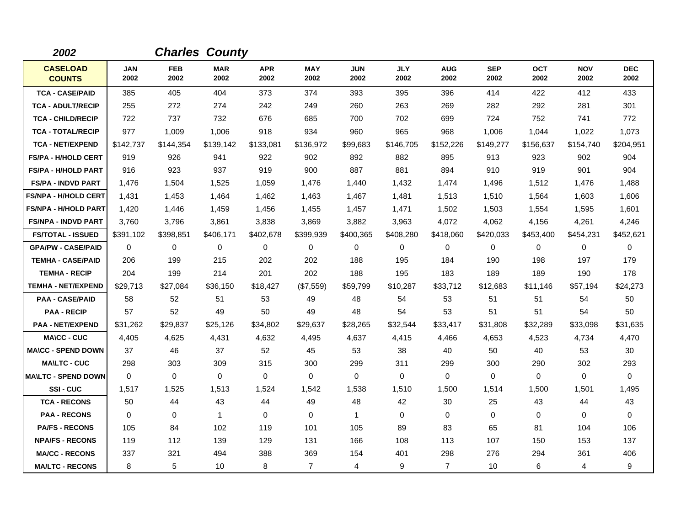| 2002                             |                    |                    | <b>Charles County</b> |                    |                    |                    |                    |                    |                    |                    |                    |                    |
|----------------------------------|--------------------|--------------------|-----------------------|--------------------|--------------------|--------------------|--------------------|--------------------|--------------------|--------------------|--------------------|--------------------|
| <b>CASELOAD</b><br><b>COUNTS</b> | <b>JAN</b><br>2002 | <b>FEB</b><br>2002 | <b>MAR</b><br>2002    | <b>APR</b><br>2002 | <b>MAY</b><br>2002 | <b>JUN</b><br>2002 | <b>JLY</b><br>2002 | <b>AUG</b><br>2002 | <b>SEP</b><br>2002 | <b>OCT</b><br>2002 | <b>NOV</b><br>2002 | <b>DEC</b><br>2002 |
| <b>TCA - CASE/PAID</b>           | 385                | 405                | 404                   | 373                | 374                | 393                | 395                | 396                | 414                | 422                | 412                | 433                |
| <b>TCA - ADULT/RECIP</b>         | 255                | 272                | 274                   | 242                | 249                | 260                | 263                | 269                | 282                | 292                | 281                | 301                |
| <b>TCA - CHILD/RECIP</b>         | 722                | 737                | 732                   | 676                | 685                | 700                | 702                | 699                | 724                | 752                | 741                | 772                |
| <b>TCA - TOTAL/RECIP</b>         | 977                | 1,009              | 1,006                 | 918                | 934                | 960                | 965                | 968                | 1,006              | 1,044              | 1,022              | 1,073              |
| <b>TCA - NET/EXPEND</b>          | \$142,737          | \$144,354          | \$139,142             | \$133,081          | \$136,972          | \$99,683           | \$146,705          | \$152,226          | \$149,277          | \$156,637          | \$154,740          | \$204,951          |
| <b>FS/PA - H/HOLD CERT</b>       | 919                | 926                | 941                   | 922                | 902                | 892                | 882                | 895                | 913                | 923                | 902                | 904                |
| <b>FS/PA - H/HOLD PART</b>       | 916                | 923                | 937                   | 919                | 900                | 887                | 881                | 894                | 910                | 919                | 901                | 904                |
| <b>FS/PA - INDVD PART</b>        | 1,476              | 1,504              | 1,525                 | 1,059              | 1,476              | 1.440              | 1,432              | 1,474              | 1,496              | 1,512              | 1,476              | 1,488              |
| <b>FS/NPA - H/HOLD CERT</b>      | 1,431              | 1,453              | 1,464                 | 1,462              | 1,463              | 1,467              | 1,481              | 1,513              | 1,510              | 1,564              | 1,603              | 1,606              |
| <b>FS/NPA - H/HOLD PART</b>      | 1,420              | 1,446              | 1,459                 | 1,456              | 1,455              | 1,457              | 1,471              | 1,502              | 1,503              | 1,554              | 1,595              | 1,601              |
| <b>FS/NPA - INDVD PART</b>       | 3,760              | 3,796              | 3.861                 | 3,838              | 3,869              | 3,882              | 3,963              | 4,072              | 4,062              | 4.156              | 4,261              | 4,246              |
| <b>FS/TOTAL - ISSUED</b>         | \$391,102          | \$398,851          | \$406,171             | \$402,678          | \$399,939          | \$400,365          | \$408,280          | \$418,060          | \$420,033          | \$453,400          | \$454,231          | \$452,621          |
| <b>GPA/PW - CASE/PAID</b>        | 0                  | 0                  | 0                     | 0                  | 0                  | 0                  | 0                  | 0                  | $\mathbf 0$        | 0                  | $\mathbf 0$        | $\mathbf 0$        |
| <b>TEMHA - CASE/PAID</b>         | 206                | 199                | 215                   | 202                | 202                | 188                | 195                | 184                | 190                | 198                | 197                | 179                |
| <b>TEMHA - RECIP</b>             | 204                | 199                | 214                   | 201                | 202                | 188                | 195                | 183                | 189                | 189                | 190                | 178                |
| <b>TEMHA - NET/EXPEND</b>        | \$29,713           | \$27,084           | \$36,150              | \$18,427           | (\$7,559)          | \$59,799           | \$10,287           | \$33,712           | \$12,683           | \$11,146           | \$57,194           | \$24,273           |
| <b>PAA - CASE/PAID</b>           | 58                 | 52                 | 51                    | 53                 | 49                 | 48                 | 54                 | 53                 | 51                 | 51                 | 54                 | 50                 |
| <b>PAA - RECIP</b>               | 57                 | 52                 | 49                    | 50                 | 49                 | 48                 | 54                 | 53                 | 51                 | 51                 | 54                 | 50                 |
| <b>PAA - NET/EXPEND</b>          | \$31,262           | \$29,837           | \$25,126              | \$34,802           | \$29,637           | \$28,265           | \$32,544           | \$33,417           | \$31,808           | \$32,289           | \$33,098           | \$31,635           |
| <b>MA\CC - CUC</b>               | 4,405              | 4,625              | 4,431                 | 4,632              | 4,495              | 4,637              | 4,415              | 4,466              | 4,653              | 4,523              | 4,734              | 4,470              |
| <b>MA\CC - SPEND DOWN</b>        | 37                 | 46                 | 37                    | 52                 | 45                 | 53                 | 38                 | 40                 | 50                 | 40                 | 53                 | 30                 |
| <b>MA\LTC - CUC</b>              | 298                | 303                | 309                   | 315                | 300                | 299                | 311                | 299                | 300                | 290                | 302                | 293                |
| <b>MA\LTC - SPEND DOWN</b>       | 0                  | 0                  | 0                     | 0                  | 0                  | 0                  | 0                  | 0                  | $\mathbf 0$        | 0                  | 0                  | $\mathbf 0$        |
| SSI-CUC                          | 1,517              | 1,525              | 1,513                 | 1,524              | 1,542              | 1,538              | 1,510              | 1,500              | 1,514              | 1,500              | 1,501              | 1,495              |
| <b>TCA - RECONS</b>              | 50                 | 44                 | 43                    | 44                 | 49                 | 48                 | 42                 | 30                 | 25                 | 43                 | 44                 | 43                 |
| <b>PAA - RECONS</b>              | 0                  | 0                  | $\mathbf{1}$          | 0                  | 0                  | $\mathbf{1}$       | 0                  | 0                  | $\mathbf 0$        | 0                  | $\mathbf 0$        | 0                  |
| <b>PA/FS - RECONS</b>            | 105                | 84                 | 102                   | 119                | 101                | 105                | 89                 | 83                 | 65                 | 81                 | 104                | 106                |
| <b>NPA/FS - RECONS</b>           | 119                | 112                | 139                   | 129                | 131                | 166                | 108                | 113                | 107                | 150                | 153                | 137                |
| <b>MA/CC - RECONS</b>            | 337                | 321                | 494                   | 388                | 369                | 154                | 401                | 298                | 276                | 294                | 361                | 406                |
| <b>MA/LTC - RECONS</b>           | 8                  | 5                  | 10                    | 8                  | $\overline{7}$     | $\overline{4}$     | 9                  | $\overline{7}$     | 10                 | 6                  | 4                  | 9                  |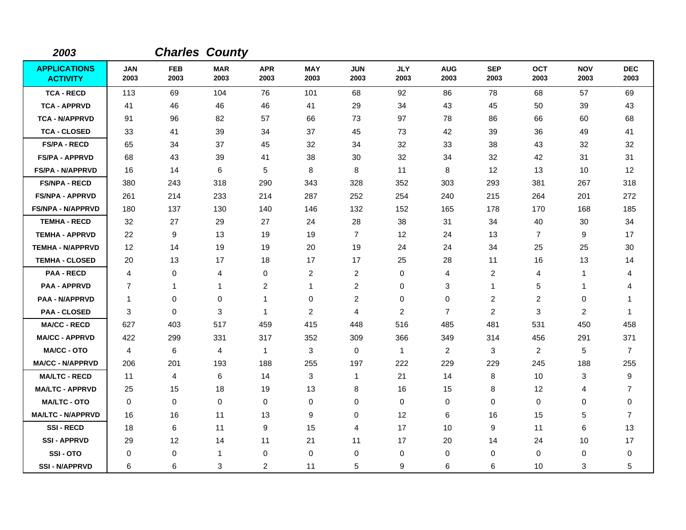| 2003                                   |                    |                    | <b>Charles County</b> |                    |                    |                    |                    |                    |                    |                    |                    |                    |
|----------------------------------------|--------------------|--------------------|-----------------------|--------------------|--------------------|--------------------|--------------------|--------------------|--------------------|--------------------|--------------------|--------------------|
| <b>APPLICATIONS</b><br><b>ACTIVITY</b> | <b>JAN</b><br>2003 | <b>FEB</b><br>2003 | <b>MAR</b><br>2003    | <b>APR</b><br>2003 | <b>MAY</b><br>2003 | <b>JUN</b><br>2003 | <b>JLY</b><br>2003 | <b>AUG</b><br>2003 | <b>SEP</b><br>2003 | <b>OCT</b><br>2003 | <b>NOV</b><br>2003 | <b>DEC</b><br>2003 |
| <b>TCA - RECD</b>                      | 113                | 69                 | 104                   | 76                 | 101                | 68                 | 92                 | 86                 | 78                 | 68                 | 57                 | 69                 |
| <b>TCA - APPRVD</b>                    | 41                 | 46                 | 46                    | 46                 | 41                 | 29                 | 34                 | 43                 | 45                 | 50                 | 39                 | 43                 |
| <b>TCA - N/APPRVD</b>                  | 91                 | 96                 | 82                    | 57                 | 66                 | 73                 | 97                 | 78                 | 86                 | 66                 | 60                 | 68                 |
| <b>TCA - CLOSED</b>                    | 33                 | 41                 | 39                    | 34                 | 37                 | 45                 | 73                 | 42                 | 39                 | 36                 | 49                 | 41                 |
| <b>FS/PA - RECD</b>                    | 65                 | 34                 | 37                    | 45                 | 32                 | 34                 | 32                 | 33                 | 38                 | 43                 | 32                 | 32                 |
| <b>FS/PA - APPRVD</b>                  | 68                 | 43                 | 39                    | 41                 | 38                 | 30                 | 32                 | 34                 | 32                 | 42                 | 31                 | 31                 |
| <b>FS/PA - N/APPRVD</b>                | 16                 | 14                 | $\,6$                 | 5                  | 8                  | 8                  | 11                 | 8                  | $12 \overline{ }$  | 13                 | 10                 | 12                 |
| <b>FS/NPA - RECD</b>                   | 380                | 243                | 318                   | 290                | 343                | 328                | 352                | 303                | 293                | 381                | 267                | 318                |
| <b>FS/NPA - APPRVD</b>                 | 261                | 214                | 233                   | 214                | 287                | 252                | 254                | 240                | 215                | 264                | 201                | 272                |
| <b>FS/NPA - N/APPRVD</b>               | 180                | 137                | 130                   | 140                | 146                | 132                | 152                | 165                | 178                | 170                | 168                | 185                |
| <b>TEMHA - RECD</b>                    | 32                 | 27                 | 29                    | 27                 | 24                 | 28                 | 38                 | 31                 | 34                 | 40                 | 30                 | 34                 |
| <b>TEMHA - APPRVD</b>                  | 22                 | 9                  | 13                    | 19                 | 19                 | $\overline{7}$     | $12 \,$            | 24                 | 13                 | $\overline{7}$     | 9                  | 17                 |
| <b>TEMHA - N/APPRVD</b>                | 12                 | 14                 | 19                    | 19                 | 20                 | 19                 | 24                 | 24                 | 34                 | 25                 | 25                 | 30                 |
| <b>TEMHA - CLOSED</b>                  | 20                 | 13                 | 17                    | 18                 | 17                 | 17                 | 25                 | 28                 | 11                 | 16                 | 13                 | 14                 |
| <b>PAA - RECD</b>                      | 4                  | 0                  | 4                     | 0                  | $\overline{c}$     | $\overline{c}$     | 0                  | 4                  | $\overline{c}$     | 4                  | 1                  | 4                  |
| <b>PAA - APPRVD</b>                    | $\overline{7}$     | 1                  | $\mathbf{1}$          | 2                  | 1                  | $\overline{c}$     | $\mathbf 0$        | 3                  | 1                  | 5                  | 1                  | 4                  |
| <b>PAA - N/APPRVD</b>                  | $\overline{1}$     | 0                  | 0                     | 1                  | $\mathbf 0$        | $\overline{c}$     | 0                  | 0                  | $\overline{c}$     | $\overline{c}$     | 0                  | -1                 |
| <b>PAA - CLOSED</b>                    | 3                  | 0                  | 3                     | 1                  | $\overline{2}$     | 4                  | 2                  | $\overline{7}$     | $\overline{c}$     | 3                  | 2                  | -1                 |
| <b>MA/CC - RECD</b>                    | 627                | 403                | 517                   | 459                | 415                | 448                | 516                | 485                | 481                | 531                | 450                | 458                |
| <b>MA/CC - APPRVD</b>                  | 422                | 299                | 331                   | 317                | 352                | 309                | 366                | 349                | 314                | 456                | 291                | 371                |
| <b>MA/CC - OTO</b>                     | 4                  | 6                  | $\overline{4}$        | $\mathbf{1}$       | 3                  | 0                  | $\mathbf{1}$       | $\overline{a}$     | 3                  | $\overline{a}$     | 5                  | $\overline{7}$     |
| <b>MA/CC - N/APPRVD</b>                | 206                | 201                | 193                   | 188                | 255                | 197                | 222                | 229                | 229                | 245                | 188                | 255                |
| <b>MA/LTC - RECD</b>                   | 11                 | 4                  | $\,6$                 | 14                 | 3                  | $\mathbf{1}$       | 21                 | 14                 | 8                  | 10                 | 3                  | 9                  |
| <b>MA/LTC - APPRVD</b>                 | 25                 | 15                 | 18                    | 19                 | 13                 | 8                  | 16                 | 15                 | 8                  | 12                 | 4                  | $\overline{7}$     |
| <b>MA/LTC - OTO</b>                    | $\mathbf 0$        | 0                  | 0                     | 0                  | 0                  | 0                  | 0                  | 0                  | $\mathbf 0$        | 0                  | 0                  | 0                  |
| <b>MA/LTC - N/APPRVD</b>               | 16                 | 16                 | 11                    | 13                 | 9                  | $\Omega$           | $12 \,$            | 6                  | 16                 | 15                 | 5                  | $\overline{7}$     |
| <b>SSI-RECD</b>                        | 18                 | 6                  | 11                    | 9                  | 15                 | 4                  | 17                 | 10                 | 9                  | 11                 | 6                  | 13                 |
| <b>SSI-APPRVD</b>                      | 29                 | 12                 | 14                    | 11                 | 21                 | 11                 | 17                 | 20                 | 14                 | 24                 | 10                 | 17                 |
| SSI-OTO                                | $\Omega$           | 0                  | $\overline{1}$        | 0                  | $\mathbf 0$        | 0                  | $\mathbf 0$        | 0                  | $\Omega$           | $\Omega$           | 0                  | 0                  |
| <b>SSI-N/APPRVD</b>                    | 6                  | 6                  | 3                     | 2                  | 11                 | 5                  | 9                  | 6                  | 6                  | 10                 | 3                  | 5                  |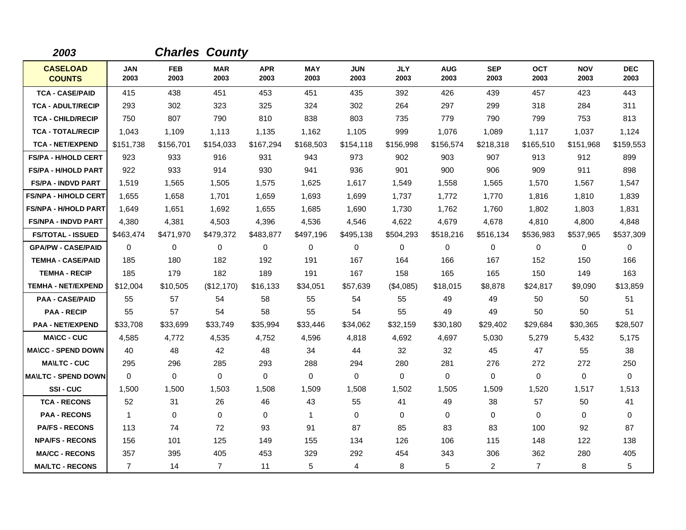| 2003                             |                    |                    | <b>Charles County</b> |                    |                    |                    |                    |                    |                    |                    |                    |                    |
|----------------------------------|--------------------|--------------------|-----------------------|--------------------|--------------------|--------------------|--------------------|--------------------|--------------------|--------------------|--------------------|--------------------|
| <b>CASELOAD</b><br><b>COUNTS</b> | <b>JAN</b><br>2003 | <b>FEB</b><br>2003 | <b>MAR</b><br>2003    | <b>APR</b><br>2003 | <b>MAY</b><br>2003 | <b>JUN</b><br>2003 | <b>JLY</b><br>2003 | <b>AUG</b><br>2003 | <b>SEP</b><br>2003 | <b>OCT</b><br>2003 | <b>NOV</b><br>2003 | <b>DEC</b><br>2003 |
| <b>TCA - CASE/PAID</b>           | 415                | 438                | 451                   | 453                | 451                | 435                | 392                | 426                | 439                | 457                | 423                | 443                |
| <b>TCA - ADULT/RECIP</b>         | 293                | 302                | 323                   | 325                | 324                | 302                | 264                | 297                | 299                | 318                | 284                | 311                |
| <b>TCA - CHILD/RECIP</b>         | 750                | 807                | 790                   | 810                | 838                | 803                | 735                | 779                | 790                | 799                | 753                | 813                |
| <b>TCA - TOTAL/RECIP</b>         | 1,043              | 1,109              | 1,113                 | 1,135              | 1,162              | 1,105              | 999                | 1,076              | 1,089              | 1,117              | 1,037              | 1,124              |
| <b>TCA - NET/EXPEND</b>          | \$151,738          | \$156,701          | \$154,033             | \$167,294          | \$168,503          | \$154,118          | \$156,998          | \$156,574          | \$218,318          | \$165,510          | \$151,968          | \$159,553          |
| <b>FS/PA - H/HOLD CERT</b>       | 923                | 933                | 916                   | 931                | 943                | 973                | 902                | 903                | 907                | 913                | 912                | 899                |
| <b>FS/PA - H/HOLD PART</b>       | 922                | 933                | 914                   | 930                | 941                | 936                | 901                | 900                | 906                | 909                | 911                | 898                |
| <b>FS/PA - INDVD PART</b>        | 1,519              | 1,565              | 1,505                 | 1,575              | 1,625              | 1,617              | 1,549              | 1,558              | 1,565              | 1,570              | 1,567              | 1,547              |
| <b>FS/NPA - H/HOLD CERT</b>      | 1,655              | 1,658              | 1.701                 | 1,659              | 1,693              | 1.699              | 1,737              | 1,772              | 1,770              | 1,816              | 1,810              | 1,839              |
| <b>FS/NPA - H/HOLD PART</b>      | 1,649              | 1,651              | 1,692                 | 1,655              | 1,685              | 1,690              | 1,730              | 1,762              | 1,760              | 1,802              | 1,803              | 1,831              |
| <b>FS/NPA - INDVD PART</b>       | 4,380              | 4,381              | 4,503                 | 4,396              | 4,536              | 4,546              | 4,622              | 4,679              | 4,678              | 4,810              | 4,800              | 4,848              |
| <b>FS/TOTAL - ISSUED</b>         | \$463,474          | \$471,970          | \$479,372             | \$483,877          | \$497,196          | \$495,138          | \$504,293          | \$518,216          | \$516,134          | \$536,983          | \$537,965          | \$537,309          |
| <b>GPA/PW - CASE/PAID</b>        | $\Omega$           | 0                  | $\Omega$              | $\mathbf 0$        | 0                  | $\Omega$           | $\mathbf 0$        | $\mathbf 0$        | $\mathbf 0$        | 0                  | $\mathbf 0$        | 0                  |
| <b>TEMHA - CASE/PAID</b>         | 185                | 180                | 182                   | 192                | 191                | 167                | 164                | 166                | 167                | 152                | 150                | 166                |
| <b>TEMHA - RECIP</b>             | 185                | 179                | 182                   | 189                | 191                | 167                | 158                | 165                | 165                | 150                | 149                | 163                |
| <b>TEMHA - NET/EXPEND</b>        | \$12,004           | \$10,505           | (\$12,170)            | \$16,133           | \$34,051           | \$57,639           | (\$4,085)          | \$18,015           | \$8,878            | \$24,817           | \$9,090            | \$13,859           |
| <b>PAA - CASE/PAID</b>           | 55                 | 57                 | 54                    | 58                 | 55                 | 54                 | 55                 | 49                 | 49                 | 50                 | 50                 | 51                 |
| <b>PAA - RECIP</b>               | 55                 | 57                 | 54                    | 58                 | 55                 | 54                 | 55                 | 49                 | 49                 | 50                 | 50                 | 51                 |
| <b>PAA - NET/EXPEND</b>          | \$33,708           | \$33,699           | \$33,749              | \$35,994           | \$33,446           | \$34,062           | \$32,159           | \$30,180           | \$29,402           | \$29,684           | \$30,365           | \$28,507           |
| <b>MA\CC - CUC</b>               | 4,585              | 4,772              | 4,535                 | 4,752              | 4,596              | 4,818              | 4,692              | 4,697              | 5,030              | 5,279              | 5,432              | 5,175              |
| <b>MA\CC - SPEND DOWN</b>        | 40                 | 48                 | 42                    | 48                 | 34                 | 44                 | 32                 | 32                 | 45                 | 47                 | 55                 | 38                 |
| <b>MA\LTC - CUC</b>              | 295                | 296                | 285                   | 293                | 288                | 294                | 280                | 281                | 276                | 272                | 272                | 250                |
| <b>MAILTC - SPEND DOWN</b>       | $\Omega$           | $\Omega$           | $\mathbf 0$           | $\Omega$           | 0                  | 0                  | $\Omega$           | 0                  | 0                  | 0                  | $\mathbf 0$        | 0                  |
| SSI-CUC                          | 1,500              | 1,500              | 1,503                 | 1,508              | 1,509              | 1,508              | 1,502              | 1,505              | 1,509              | 1,520              | 1,517              | 1,513              |
| <b>TCA - RECONS</b>              | 52                 | 31                 | 26                    | 46                 | 43                 | 55                 | 41                 | 49                 | 38                 | 57                 | 50                 | 41                 |
| <b>PAA - RECONS</b>              | $\overline{1}$     | $\Omega$           | $\Omega$              | $\Omega$           | $\mathbf 1$        | $\Omega$           | $\Omega$           | 0                  | $\Omega$           | $\Omega$           | $\mathbf 0$        | $\mathbf 0$        |
| <b>PA/FS - RECONS</b>            | 113                | 74                 | 72                    | 93                 | 91                 | 87                 | 85                 | 83                 | 83                 | 100                | 92                 | 87                 |
| <b>NPA/FS - RECONS</b>           | 156                | 101                | 125                   | 149                | 155                | 134                | 126                | 106                | 115                | 148                | 122                | 138                |
| <b>MA/CC - RECONS</b>            | 357                | 395                | 405                   | 453                | 329                | 292                | 454                | 343                | 306                | 362                | 280                | 405                |
| <b>MA/LTC - RECONS</b>           | $\overline{7}$     | 14                 | $\overline{7}$        | 11                 | 5                  | 4                  | 8                  | 5                  | 2                  | $\overline{7}$     | 8                  | 5                  |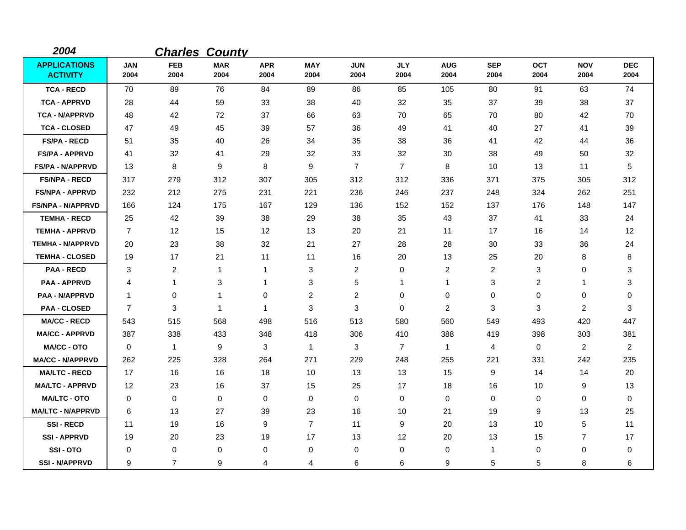| 2004                                   |                    |                    | <b>Charles County</b> |                    |                    |                    |                    |                    |                    |                    |                    |                    |
|----------------------------------------|--------------------|--------------------|-----------------------|--------------------|--------------------|--------------------|--------------------|--------------------|--------------------|--------------------|--------------------|--------------------|
| <b>APPLICATIONS</b><br><b>ACTIVITY</b> | <b>JAN</b><br>2004 | <b>FEB</b><br>2004 | <b>MAR</b><br>2004    | <b>APR</b><br>2004 | <b>MAY</b><br>2004 | <b>JUN</b><br>2004 | <b>JLY</b><br>2004 | <b>AUG</b><br>2004 | <b>SEP</b><br>2004 | <b>OCT</b><br>2004 | <b>NOV</b><br>2004 | <b>DEC</b><br>2004 |
| <b>TCA - RECD</b>                      | 70                 | 89                 | 76                    | 84                 | 89                 | 86                 | 85                 | 105                | 80                 | 91                 | 63                 | 74                 |
| <b>TCA - APPRVD</b>                    | 28                 | 44                 | 59                    | 33                 | 38                 | 40                 | 32                 | 35                 | 37                 | 39                 | 38                 | 37                 |
| <b>TCA - N/APPRVD</b>                  | 48                 | 42                 | 72                    | 37                 | 66                 | 63                 | 70                 | 65                 | 70                 | 80                 | 42                 | 70                 |
| <b>TCA - CLOSED</b>                    | 47                 | 49                 | 45                    | 39                 | 57                 | 36                 | 49                 | 41                 | 40                 | 27                 | 41                 | 39                 |
| <b>FS/PA - RECD</b>                    | 51                 | 35                 | 40                    | 26                 | 34                 | 35                 | 38                 | 36                 | 41                 | 42                 | 44                 | 36                 |
| <b>FS/PA - APPRVD</b>                  | 41                 | 32                 | 41                    | 29                 | 32                 | 33                 | 32                 | 30                 | 38                 | 49                 | 50                 | 32                 |
| <b>FS/PA - N/APPRVD</b>                | 13                 | 8                  | 9                     | 8                  | 9                  | $\overline{7}$     | $\overline{7}$     | 8                  | 10                 | 13                 | 11                 | 5                  |
| <b>FS/NPA - RECD</b>                   | 317                | 279                | 312                   | 307                | 305                | 312                | 312                | 336                | 371                | 375                | 305                | 312                |
| <b>FS/NPA - APPRVD</b>                 | 232                | 212                | 275                   | 231                | 221                | 236                | 246                | 237                | 248                | 324                | 262                | 251                |
| <b>FS/NPA - N/APPRVD</b>               | 166                | 124                | 175                   | 167                | 129                | 136                | 152                | 152                | 137                | 176                | 148                | 147                |
| <b>TEMHA - RECD</b>                    | 25                 | 42                 | 39                    | 38                 | 29                 | 38                 | 35                 | 43                 | 37                 | 41                 | 33                 | 24                 |
| <b>TEMHA - APPRVD</b>                  | $\overline{7}$     | 12                 | 15                    | 12                 | 13                 | 20                 | 21                 | 11                 | 17                 | 16                 | 14                 | 12                 |
| <b>TEMHA - N/APPRVD</b>                | 20                 | 23                 | 38                    | 32                 | 21                 | 27                 | 28                 | 28                 | 30                 | 33                 | 36                 | 24                 |
| <b>TEMHA - CLOSED</b>                  | 19                 | 17                 | 21                    | 11                 | 11                 | 16                 | 20                 | 13                 | 25                 | 20                 | 8                  | 8                  |
| <b>PAA - RECD</b>                      | 3                  | 2                  | 1                     | 1                  | 3                  | 2                  | 0                  | $\overline{c}$     | $\overline{c}$     | 3                  | 0                  | 3                  |
| <b>PAA - APPRVD</b>                    | 4                  | 1                  | 3                     | 1                  | 3                  | 5                  | 1                  | $\mathbf{1}$       | 3                  | 2                  | 1                  | 3                  |
| <b>PAA - N/APPRVD</b>                  | $\mathbf{1}$       | 0                  | 1                     | 0                  | $\overline{c}$     | $\overline{c}$     | $\mathbf 0$        | 0                  | 0                  | 0                  | 0                  | 0                  |
| <b>PAA - CLOSED</b>                    | $\overline{7}$     | 3                  | $\mathbf{1}$          | 1                  | 3                  | 3                  | 0                  | $\overline{c}$     | 3                  | 3                  | $\overline{2}$     | 3                  |
| <b>MA/CC - RECD</b>                    | 543                | 515                | 568                   | 498                | 516                | 513                | 580                | 560                | 549                | 493                | 420                | 447                |
| <b>MA/CC - APPRVD</b>                  | 387                | 338                | 433                   | 348                | 418                | 306                | 410                | 388                | 419                | 398                | 303                | 381                |
| <b>MA/CC - OTO</b>                     | $\mathbf 0$        | $\mathbf{1}$       | 9                     | 3                  | $\mathbf 1$        | 3                  | $\overline{7}$     | $\mathbf{1}$       | 4                  | $\mathbf 0$        | $\overline{2}$     | $\overline{2}$     |
| <b>MA/CC - N/APPRVD</b>                | 262                | 225                | 328                   | 264                | 271                | 229                | 248                | 255                | 221                | 331                | 242                | 235                |
| <b>MA/LTC - RECD</b>                   | 17                 | 16                 | 16                    | 18                 | 10                 | 13                 | 13                 | 15                 | 9                  | 14                 | 14                 | 20                 |
| <b>MA/LTC - APPRVD</b>                 | 12                 | 23                 | 16                    | 37                 | 15                 | 25                 | 17                 | 18                 | 16                 | 10                 | 9                  | 13                 |
| <b>MA/LTC - OTO</b>                    | $\mathbf 0$        | 0                  | 0                     | 0                  | 0                  | 0                  | 0                  | 0                  | $\mathbf 0$        | 0                  | 0                  | 0                  |
| <b>MA/LTC - N/APPRVD</b>               | 6                  | 13                 | 27                    | 39                 | 23                 | 16                 | 10                 | 21                 | 19                 | 9                  | 13                 | 25                 |
| <b>SSI-RECD</b>                        | 11                 | 19                 | 16                    | 9                  | $\overline{7}$     | 11                 | 9                  | 20                 | 13                 | 10                 | 5                  | 11                 |
| <b>SSI-APPRVD</b>                      | 19                 | 20                 | 23                    | 19                 | 17                 | 13                 | 12                 | 20                 | 13                 | 15                 | $\overline{7}$     | 17                 |
| SSI-OTO                                | 0                  | 0                  | $\mathbf 0$           | 0                  | 0                  | 0                  | 0                  | 0                  | 1                  | 0                  | 0                  | 0                  |
| <b>SSI-N/APPRVD</b>                    | 9                  | $\overline{7}$     | 9                     | 4                  | 4                  | 6                  | 6                  | 9                  | 5                  | 5                  | 8                  | 6                  |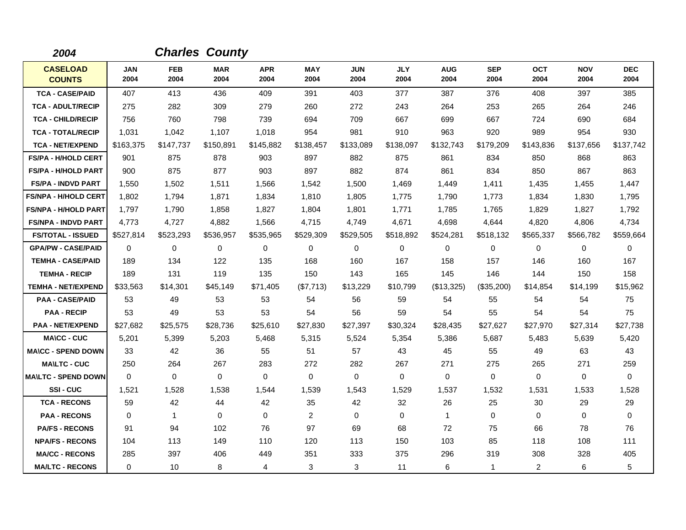| 2004                             |                    |                    | <b>Charles County</b> |                    |                    |                    |                    |                    |                    |                    |                    |                    |
|----------------------------------|--------------------|--------------------|-----------------------|--------------------|--------------------|--------------------|--------------------|--------------------|--------------------|--------------------|--------------------|--------------------|
| <b>CASELOAD</b><br><b>COUNTS</b> | <b>JAN</b><br>2004 | <b>FEB</b><br>2004 | <b>MAR</b><br>2004    | <b>APR</b><br>2004 | <b>MAY</b><br>2004 | <b>JUN</b><br>2004 | <b>JLY</b><br>2004 | <b>AUG</b><br>2004 | <b>SEP</b><br>2004 | <b>OCT</b><br>2004 | <b>NOV</b><br>2004 | <b>DEC</b><br>2004 |
| <b>TCA - CASE/PAID</b>           | 407                | 413                | 436                   | 409                | 391                | 403                | 377                | 387                | 376                | 408                | 397                | 385                |
| <b>TCA - ADULT/RECIP</b>         | 275                | 282                | 309                   | 279                | 260                | 272                | 243                | 264                | 253                | 265                | 264                | 246                |
| <b>TCA - CHILD/RECIP</b>         | 756                | 760                | 798                   | 739                | 694                | 709                | 667                | 699                | 667                | 724                | 690                | 684                |
| <b>TCA - TOTAL/RECIP</b>         | 1,031              | 1,042              | 1,107                 | 1,018              | 954                | 981                | 910                | 963                | 920                | 989                | 954                | 930                |
| <b>TCA - NET/EXPEND</b>          | \$163,375          | \$147,737          | \$150,891             | \$145,882          | \$138,457          | \$133,089          | \$138,097          | \$132,743          | \$179,209          | \$143,836          | \$137,656          | \$137,742          |
| <b>FS/PA - H/HOLD CERT</b>       | 901                | 875                | 878                   | 903                | 897                | 882                | 875                | 861                | 834                | 850                | 868                | 863                |
| <b>FS/PA - H/HOLD PART</b>       | 900                | 875                | 877                   | 903                | 897                | 882                | 874                | 861                | 834                | 850                | 867                | 863                |
| <b>FS/PA - INDVD PART</b>        | 1,550              | 1.502              | 1,511                 | 1,566              | 1,542              | 1.500              | 1.469              | 1,449              | 1,411              | 1,435              | 1,455              | 1,447              |
| <b>FS/NPA - H/HOLD CERT</b>      | 1,802              | 1,794              | 1,871                 | 1,834              | 1,810              | 1,805              | 1,775              | 1,790              | 1,773              | 1,834              | 1,830              | 1,795              |
| <b>FS/NPA - H/HOLD PART</b>      | 1,797              | 1,790              | 1,858                 | 1,827              | 1,804              | 1,801              | 1,771              | 1,785              | 1,765              | 1,829              | 1,827              | 1,792              |
| <b>FS/NPA - INDVD PART</b>       | 4,773              | 4,727              | 4,882                 | 1,566              | 4,715              | 4,749              | 4,671              | 4,698              | 4,644              | 4,820              | 4,806              | 4,734              |
| <b>FS/TOTAL - ISSUED</b>         | \$527,814          | \$523,293          | \$536,957             | \$535,965          | \$529,309          | \$529,505          | \$518,892          | \$524,281          | \$518,132          | \$565,337          | \$566.782          | \$559,664          |
| <b>GPA/PW - CASE/PAID</b>        | $\Omega$           | $\mathbf 0$        | $\mathbf 0$           | 0                  | $\mathbf 0$        | $\mathbf 0$        | $\mathbf 0$        | 0                  | $\mathbf 0$        | 0                  | $\mathbf 0$        | 0                  |
| <b>TEMHA - CASE/PAID</b>         | 189                | 134                | 122                   | 135                | 168                | 160                | 167                | 158                | 157                | 146                | 160                | 167                |
| <b>TEMHA - RECIP</b>             | 189                | 131                | 119                   | 135                | 150                | 143                | 165                | 145                | 146                | 144                | 150                | 158                |
| <b>TEMHA - NET/EXPEND</b>        | \$33,563           | \$14,301           | \$45,149              | \$71,405           | (\$7,713)          | \$13,229           | \$10,799           | (\$13,325)         | (\$35,200)         | \$14,854           | \$14,199           | \$15,962           |
| <b>PAA - CASE/PAID</b>           | 53                 | 49                 | 53                    | 53                 | 54                 | 56                 | 59                 | 54                 | 55                 | 54                 | 54                 | 75                 |
| <b>PAA - RECIP</b>               | 53                 | 49                 | 53                    | 53                 | 54                 | 56                 | 59                 | 54                 | 55                 | 54                 | 54                 | 75                 |
| <b>PAA - NET/EXPEND</b>          | \$27,682           | \$25,575           | \$28,736              | \$25,610           | \$27,830           | \$27,397           | \$30,324           | \$28,435           | \$27,627           | \$27,970           | \$27,314           | \$27,738           |
| <b>MA\CC - CUC</b>               | 5,201              | 5,399              | 5,203                 | 5,468              | 5,315              | 5,524              | 5,354              | 5,386              | 5,687              | 5,483              | 5,639              | 5,420              |
| <b>MA\CC - SPEND DOWN</b>        | 33                 | 42                 | 36                    | 55                 | 51                 | 57                 | 43                 | 45                 | 55                 | 49                 | 63                 | 43                 |
| <b>MA\LTC - CUC</b>              | 250                | 264                | 267                   | 283                | 272                | 282                | 267                | 271                | 275                | 265                | 271                | 259                |
| <b>MA\LTC - SPEND DOWN</b>       | 0                  | 0                  | $\mathbf 0$           | 0                  | $\mathbf 0$        | $\mathbf 0$        | 0                  | 0                  | 0                  | 0                  | 0                  | 0                  |
| SSI-CUC                          | 1,521              | 1,528              | 1,538                 | 1,544              | 1,539              | 1,543              | 1,529              | 1,537              | 1,532              | 1,531              | 1,533              | 1,528              |
| <b>TCA - RECONS</b>              | 59                 | 42                 | 44                    | 42                 | 35                 | 42                 | 32                 | 26                 | 25                 | 30                 | 29                 | 29                 |
| <b>PAA - RECONS</b>              | $\Omega$           | $\mathbf{1}$       | $\Omega$              | $\Omega$           | 2                  | $\Omega$           | $\Omega$           | 1                  | $\Omega$           | $\Omega$           | $\mathbf 0$        | $\Omega$           |
| <b>PA/FS - RECONS</b>            | 91                 | 94                 | 102                   | 76                 | 97                 | 69                 | 68                 | 72                 | 75                 | 66                 | 78                 | 76                 |
| <b>NPA/FS - RECONS</b>           | 104                | 113                | 149                   | 110                | 120                | 113                | 150                | 103                | 85                 | 118                | 108                | 111                |
| <b>MA/CC - RECONS</b>            | 285                | 397                | 406                   | 449                | 351                | 333                | 375                | 296                | 319                | 308                | 328                | 405                |
| <b>MA/LTC - RECONS</b>           | $\Omega$           | 10                 | 8                     | 4                  | 3                  | 3                  | 11                 | 6                  | $\mathbf 1$        | $\overline{2}$     | 6                  | 5                  |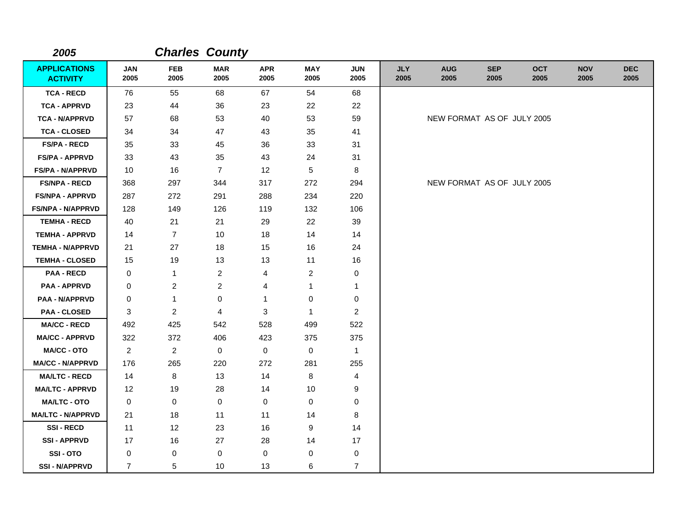| 2005                                   |                    |                    | <b>Charles County</b> |                    |                    |                    |                    |                            |                    |                    |                    |                    |
|----------------------------------------|--------------------|--------------------|-----------------------|--------------------|--------------------|--------------------|--------------------|----------------------------|--------------------|--------------------|--------------------|--------------------|
| <b>APPLICATIONS</b><br><b>ACTIVITY</b> | <b>JAN</b><br>2005 | <b>FEB</b><br>2005 | <b>MAR</b><br>2005    | <b>APR</b><br>2005 | <b>MAY</b><br>2005 | <b>JUN</b><br>2005 | <b>JLY</b><br>2005 | <b>AUG</b><br>2005         | <b>SEP</b><br>2005 | <b>OCT</b><br>2005 | <b>NOV</b><br>2005 | <b>DEC</b><br>2005 |
| <b>TCA - RECD</b>                      | 76                 | 55                 | 68                    | 67                 | 54                 | 68                 |                    |                            |                    |                    |                    |                    |
| <b>TCA - APPRVD</b>                    | 23                 | 44                 | 36                    | 23                 | 22                 | 22                 |                    |                            |                    |                    |                    |                    |
| <b>TCA - N/APPRVD</b>                  | 57                 | 68                 | 53                    | 40                 | 53                 | 59                 |                    | NEW FORMAT AS OF JULY 2005 |                    |                    |                    |                    |
| <b>TCA - CLOSED</b>                    | 34                 | 34                 | 47                    | 43                 | 35                 | 41                 |                    |                            |                    |                    |                    |                    |
| <b>FS/PA - RECD</b>                    | 35                 | 33                 | 45                    | 36                 | 33                 | 31                 |                    |                            |                    |                    |                    |                    |
| <b>FS/PA - APPRVD</b>                  | 33                 | 43                 | 35                    | 43                 | 24                 | 31                 |                    |                            |                    |                    |                    |                    |
| <b>FS/PA - N/APPRVD</b>                | 10                 | 16                 | $\overline{7}$        | 12                 | 5                  | 8                  |                    |                            |                    |                    |                    |                    |
| <b>FS/NPA - RECD</b>                   | 368                | 297                | 344                   | 317                | 272                | 294                |                    | NEW FORMAT AS OF JULY 2005 |                    |                    |                    |                    |
| <b>FS/NPA - APPRVD</b>                 | 287                | 272                | 291                   | 288                | 234                | 220                |                    |                            |                    |                    |                    |                    |
| <b>FS/NPA - N/APPRVD</b>               | 128                | 149                | 126                   | 119                | 132                | 106                |                    |                            |                    |                    |                    |                    |
| <b>TEMHA - RECD</b>                    | 40                 | 21                 | 21                    | 29                 | 22                 | 39                 |                    |                            |                    |                    |                    |                    |
| <b>TEMHA - APPRVD</b>                  | 14                 | $\overline{7}$     | 10                    | 18                 | 14                 | 14                 |                    |                            |                    |                    |                    |                    |
| <b>TEMHA - N/APPRVD</b>                | 21                 | 27                 | 18                    | 15                 | 16                 | 24                 |                    |                            |                    |                    |                    |                    |
| <b>TEMHA - CLOSED</b>                  | 15                 | 19                 | 13                    | 13                 | 11                 | 16                 |                    |                            |                    |                    |                    |                    |
| <b>PAA - RECD</b>                      | 0                  | $\mathbf{1}$       | $\overline{c}$        | 4                  | $\overline{2}$     | 0                  |                    |                            |                    |                    |                    |                    |
| <b>PAA - APPRVD</b>                    | 0                  | $\overline{c}$     | $\overline{c}$        | 4                  | $\mathbf{1}$       | 1                  |                    |                            |                    |                    |                    |                    |
| <b>PAA - N/APPRVD</b>                  | 0                  | 1                  | 0                     | $\mathbf{1}$       | 0                  | 0                  |                    |                            |                    |                    |                    |                    |
| <b>PAA - CLOSED</b>                    | 3                  | 2                  | $\overline{4}$        | 3                  | $\mathbf{1}$       | $\overline{2}$     |                    |                            |                    |                    |                    |                    |
| <b>MA/CC - RECD</b>                    | 492                | 425                | 542                   | 528                | 499                | 522                |                    |                            |                    |                    |                    |                    |
| <b>MA/CC - APPRVD</b>                  | 322                | 372                | 406                   | 423                | 375                | 375                |                    |                            |                    |                    |                    |                    |
| MA/CC - OTO                            | $\overline{2}$     | $\overline{2}$     | $\mathbf 0$           | 0                  | 0                  | $\mathbf{1}$       |                    |                            |                    |                    |                    |                    |
| <b>MA/CC - N/APPRVD</b>                | 176                | 265                | 220                   | 272                | 281                | 255                |                    |                            |                    |                    |                    |                    |
| <b>MA/LTC - RECD</b>                   | 14                 | 8                  | 13                    | 14                 | 8                  | 4                  |                    |                            |                    |                    |                    |                    |
| <b>MA/LTC - APPRVD</b>                 | 12                 | 19                 | 28                    | 14                 | 10                 | 9                  |                    |                            |                    |                    |                    |                    |
| <b>MA/LTC - OTO</b>                    | 0                  | $\mathbf 0$        | $\mathbf 0$           | 0                  | 0                  | $\mathbf 0$        |                    |                            |                    |                    |                    |                    |
| <b>MA/LTC - N/APPRVD</b>               | 21                 | 18                 | 11                    | 11                 | 14                 | 8                  |                    |                            |                    |                    |                    |                    |
| <b>SSI-RECD</b>                        | 11                 | 12                 | 23                    | 16                 | 9                  | 14                 |                    |                            |                    |                    |                    |                    |
| <b>SSI - APPRVD</b>                    | 17                 | 16                 | 27                    | 28                 | 14                 | 17                 |                    |                            |                    |                    |                    |                    |
| SSI-OTO                                | 0                  | 0                  | 0                     | 0                  | 0                  | 0                  |                    |                            |                    |                    |                    |                    |
| <b>SSI - N/APPRVD</b>                  | $\overline{7}$     | 5                  | 10                    | 13                 | 6                  | $\overline{7}$     |                    |                            |                    |                    |                    |                    |